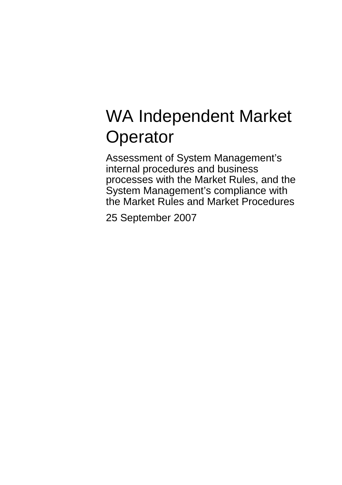# WA Independent Market **Operator**

Assessment of System Management's internal procedures and business processes with the Market Rules, and the System Management's compliance with the Market Rules and Market Procedures

25 September 2007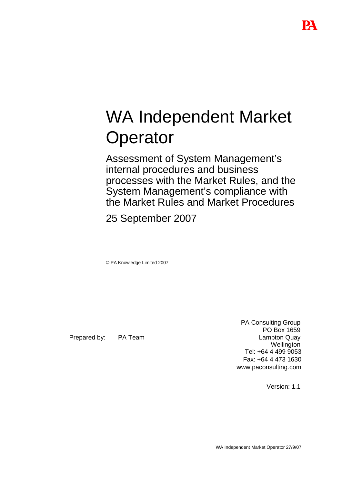# WA Independent Market **Operator**

Assessment of System Management's internal procedures and business processes with the Market Rules, and the System Management's compliance with the Market Rules and Market Procedures

25 September 2007

© PA Knowledge Limited 2007

Prepared by: PA Team

PA Consulting Group PO Box 1659 Lambton Quay **Wellington** Tel: +64 4 499 9053 Fax: +64 4 473 1630 www.paconsulting.com

Version: 1.1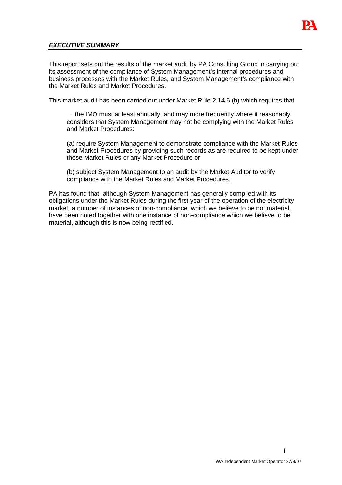

#### **EXECUTIVE SUMMARY**

This report sets out the results of the market audit by PA Consulting Group in carrying out its assessment of the compliance of System Management's internal procedures and business processes with the Market Rules, and System Management's compliance with the Market Rules and Market Procedures.

This market audit has been carried out under Market Rule 2.14.6 (b) which requires that

… the IMO must at least annually, and may more frequently where it reasonably considers that System Management may not be complying with the Market Rules and Market Procedures:

(a) require System Management to demonstrate compliance with the Market Rules and Market Procedures by providing such records as are required to be kept under these Market Rules or any Market Procedure or

(b) subject System Management to an audit by the Market Auditor to verify compliance with the Market Rules and Market Procedures.

PA has found that, although System Management has generally complied with its obligations under the Market Rules during the first year of the operation of the electricity market, a number of instances of non-compliance, which we believe to be not material, have been noted together with one instance of non-compliance which we believe to be material, although this is now being rectified.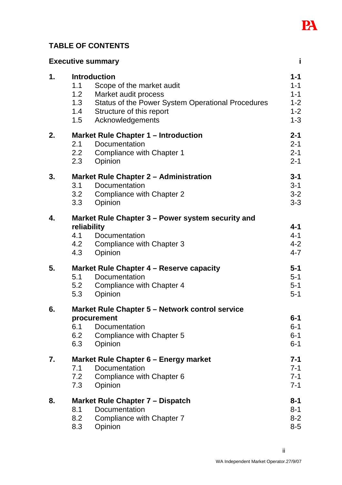

# **TABLE OF CONTENTS**

| <b>Executive summary</b> |                                 |                                                                                                                                                                               | j.                                                             |
|--------------------------|---------------------------------|-------------------------------------------------------------------------------------------------------------------------------------------------------------------------------|----------------------------------------------------------------|
| 1 <sub>1</sub>           | 1.1<br>1.2<br>1.3<br>1.4<br>1.5 | <b>Introduction</b><br>Scope of the market audit<br>Market audit process<br>Status of the Power System Operational Procedures<br>Structure of this report<br>Acknowledgements | $1 - 1$<br>$1 - 1$<br>$1 - 1$<br>$1 - 2$<br>$1 - 2$<br>$1 - 3$ |
| 2.                       | 2.1<br>2.2<br>2.3               | <b>Market Rule Chapter 1 - Introduction</b><br>Documentation<br>Compliance with Chapter 1<br>Opinion                                                                          | $2 - 1$<br>$2 - 1$<br>$2 - 1$<br>$2 - 1$                       |
| 3.                       | 3.1<br>3.2<br>3.3               | <b>Market Rule Chapter 2 - Administration</b><br>Documentation<br><b>Compliance with Chapter 2</b><br>Opinion                                                                 | $3 - 1$<br>$3 - 1$<br>$3 - 2$<br>$3 - 3$                       |
| 4.                       | reliability<br>4.1<br>4.3       | Market Rule Chapter 3 – Power system security and<br>Documentation<br>4.2 Compliance with Chapter 3<br>Opinion                                                                | $4 - 1$<br>$4 - 1$<br>$4 - 2$<br>$4 - 7$                       |
| 5.                       | 5.1<br>5.2<br>5.3               | Market Rule Chapter 4 – Reserve capacity<br>Documentation<br>Compliance with Chapter 4<br>Opinion                                                                             | $5-1$<br>$5 - 1$<br>$5 - 1$<br>$5 - 1$                         |
| 6.                       | 6.1<br>6.2<br>6.3               | Market Rule Chapter 5 – Network control service<br>procurement<br>Documentation<br>Compliance with Chapter 5<br>Opinion                                                       | $6 - 1$<br>$6 - 1$<br>$6 - 1$<br>$6 - 1$                       |
| 7.                       | 7.1<br>7.2<br>7.3               | Market Rule Chapter 6 – Energy market<br>Documentation<br>Compliance with Chapter 6<br>Opinion                                                                                | 7-1<br>$7 - 1$<br>$7 - 1$<br>$7 - 1$                           |
| 8.                       | 8.1<br>8.2<br>8.3               | Market Rule Chapter 7 – Dispatch<br>Documentation<br>Compliance with Chapter 7<br>Opinion                                                                                     | 8-1<br>$8 - 1$<br>$8 - 2$<br>$8-5$                             |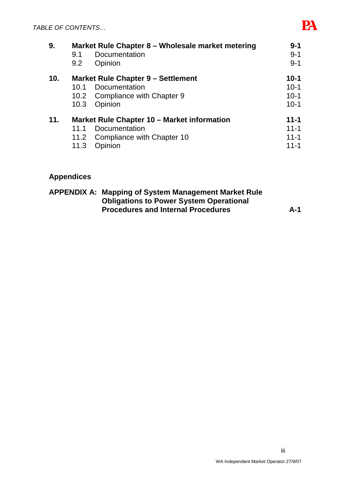| 9.  |      | Market Rule Chapter 8 - Wholesale market metering | $9 - 1$  |
|-----|------|---------------------------------------------------|----------|
|     | 9.1  | Documentation                                     | $9 - 1$  |
|     | 9.2  | Opinion                                           | $9 - 1$  |
| 10. |      | <b>Market Rule Chapter 9 – Settlement</b>         | $10-1$   |
|     | 10.1 | Documentation                                     | $10 - 1$ |
|     |      | 10.2 Compliance with Chapter 9                    | $10-1$   |
|     | 10.3 | Opinion                                           | $10-1$   |
| 11. |      | Market Rule Chapter 10 – Market information       | $11 - 1$ |
|     | 11.1 | Documentation                                     | $11 - 1$ |
|     |      | 11.2 Compliance with Chapter 10                   | $11 - 1$ |
|     | 11.3 | Opinion                                           | $11 - 1$ |
|     |      |                                                   |          |

# **Appendices**

| <b>APPENDIX A: Mapping of System Management Market Rule</b> |     |
|-------------------------------------------------------------|-----|
| <b>Obligations to Power System Operational</b>              |     |
| <b>Procedures and Internal Procedures</b>                   | A-1 |

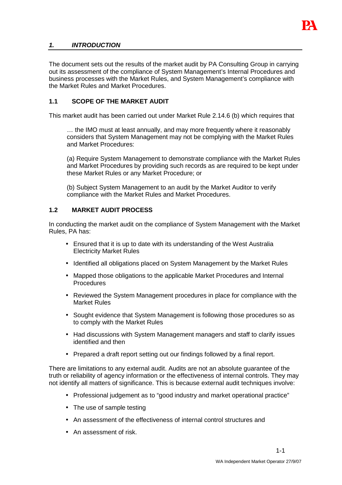

#### **1. INTRODUCTION**

The document sets out the results of the market audit by PA Consulting Group in carrying out its assessment of the compliance of System Management's Internal Procedures and business processes with the Market Rules, and System Management's compliance with the Market Rules and Market Procedures.

#### **1.1 SCOPE OF THE MARKET AUDIT**

This market audit has been carried out under Market Rule 2.14.6 (b) which requires that

… the IMO must at least annually, and may more frequently where it reasonably considers that System Management may not be complying with the Market Rules and Market Procedures:

(a) Require System Management to demonstrate compliance with the Market Rules and Market Procedures by providing such records as are required to be kept under these Market Rules or any Market Procedure; or

(b) Subject System Management to an audit by the Market Auditor to verify compliance with the Market Rules and Market Procedures.

#### **1.2 MARKET AUDIT PROCESS**

In conducting the market audit on the compliance of System Management with the Market Rules, PA has:

- Ensured that it is up to date with its understanding of the West Australia Electricity Market Rules
- Identified all obligations placed on System Management by the Market Rules
- Mapped those obligations to the applicable Market Procedures and Internal Procedures
- Reviewed the System Management procedures in place for compliance with the Market Rules
- Sought evidence that System Management is following those procedures so as to comply with the Market Rules
- Had discussions with System Management managers and staff to clarify issues identified and then
- Prepared a draft report setting out our findings followed by a final report.

There are limitations to any external audit. Audits are not an absolute guarantee of the truth or reliability of agency information or the effectiveness of internal controls. They may not identify all matters of significance. This is because external audit techniques involve:

- Professional judgement as to "good industry and market operational practice"
- The use of sample testing
- An assessment of the effectiveness of internal control structures and
- An assessment of risk.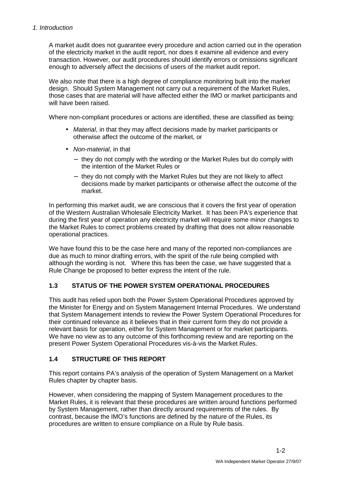A market audit does not guarantee every procedure and action carried out in the operation of the electricity market in the audit report, nor does it examine all evidence and every transaction. However, our audit procedures should identify errors or omissions significant enough to adversely affect the decisions of users of the market audit report.

We also note that there is a high degree of compliance monitoring built into the market design. Should System Management not carry out a requirement of the Market Rules, those cases that are material will have affected either the IMO or market participants and will have been raised.

Where non-compliant procedures or actions are identified, these are classified as being:

- Material, in that they may affect decisions made by market participants or otherwise affect the outcome of the market, or
- Non-material, in that
	- − they do not comply with the wording or the Market Rules but do comply with the intention of the Market Rules or
	- − they do not comply with the Market Rules but they are not likely to affect decisions made by market participants or otherwise affect the outcome of the market.

In performing this market audit, we are conscious that it covers the first year of operation of the Western Australian Wholesale Electricity Market. It has been PA's experience that during the first year of operation any electricity market will require some minor changes to the Market Rules to correct problems created by drafting that does not allow reasonable operational practices.

We have found this to be the case here and many of the reported non-compliances are due as much to minor drafting errors, with the spirit of the rule being complied with although the wording is not. Where this has been the case, we have suggested that a Rule Change be proposed to better express the intent of the rule.

# **1.3 STATUS OF THE POWER SYSTEM OPERATIONAL PROCEDURES**

This audit has relied upon both the Power System Operational Procedures approved by the Minister for Energy and on System Management Internal Procedures. We understand that System Management intends to review the Power System Operational Procedures for their continued relevance as it believes that in their current form they do not provide a relevant basis for operation, either for System Management or for market participants. We have no view as to any outcome of this forthcoming review and are reporting on the present Power System Operational Procedures vis-à-vis the Market Rules.

# **1.4 STRUCTURE OF THIS REPORT**

This report contains PA's analysis of the operation of System Management on a Market Rules chapter by chapter basis.

However, when considering the mapping of System Management procedures to the Market Rules, it is relevant that these procedures are written around functions performed by System Management, rather than directly around requirements of the rules. By contrast, because the IMO's functions are defined by the nature of the Rules, its procedures are written to ensure compliance on a Rule by Rule basis.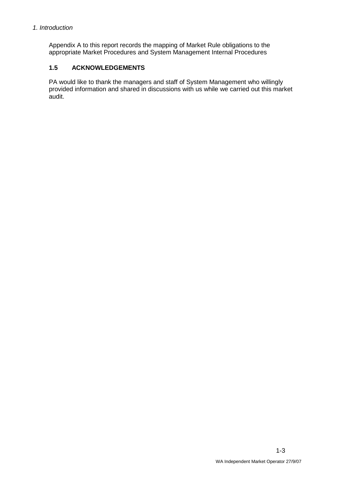#### 1. Introduction

Appendix A to this report records the mapping of Market Rule obligations to the appropriate Market Procedures and System Management Internal Procedures

# **1.5 ACKNOWLEDGEMENTS**

PA would like to thank the managers and staff of System Management who willingly provided information and shared in discussions with us while we carried out this market audit.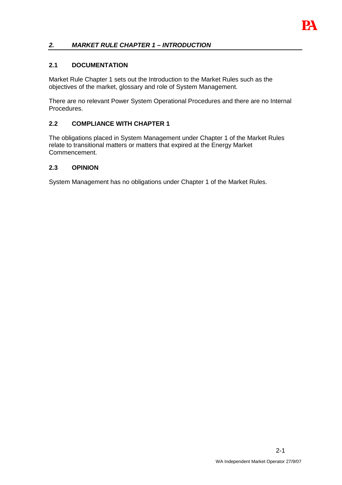

### **2. MARKET RULE CHAPTER 1 – INTRODUCTION**

#### **2.1 DOCUMENTATION**

Market Rule Chapter 1 sets out the Introduction to the Market Rules such as the objectives of the market, glossary and role of System Management.

There are no relevant Power System Operational Procedures and there are no Internal Procedures.

#### **2.2 COMPLIANCE WITH CHAPTER 1**

The obligations placed in System Management under Chapter 1 of the Market Rules relate to transitional matters or matters that expired at the Energy Market Commencement.

#### **2.3 OPINION**

System Management has no obligations under Chapter 1 of the Market Rules.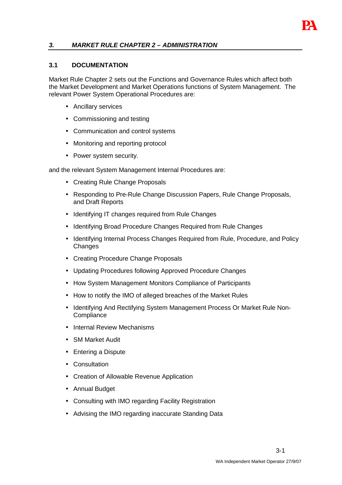

#### **3. MARKET RULE CHAPTER 2 – ADMINISTRATION**

#### **3.1 DOCUMENTATION**

Market Rule Chapter 2 sets out the Functions and Governance Rules which affect both the Market Development and Market Operations functions of System Management. The relevant Power System Operational Procedures are:

- Ancillary services
- Commissioning and testing
- Communication and control systems
- Monitoring and reporting protocol
- Power system security.

and the relevant System Management Internal Procedures are:

- Creating Rule Change Proposals
- Responding to Pre-Rule Change Discussion Papers, Rule Change Proposals, and Draft Reports
- Identifying IT changes required from Rule Changes
- Identifying Broad Procedure Changes Required from Rule Changes
- Identifying Internal Process Changes Required from Rule, Procedure, and Policy **Changes**
- Creating Procedure Change Proposals
- Updating Procedures following Approved Procedure Changes
- How System Management Monitors Compliance of Participants
- How to notify the IMO of alleged breaches of the Market Rules
- Identifying And Rectifying System Management Process Or Market Rule Non-**Compliance**
- Internal Review Mechanisms
- SM Market Audit
- Entering a Dispute
- Consultation
- Creation of Allowable Revenue Application
- Annual Budget
- Consulting with IMO regarding Facility Registration
- Advising the IMO regarding inaccurate Standing Data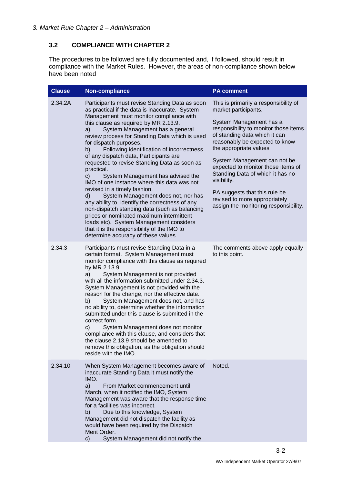# **3.2 COMPLIANCE WITH CHAPTER 2**

The procedures to be followed are fully documented and, if followed, should result in compliance with the Market Rules. However, the areas of non-compliance shown below have been noted

| <b>Clause</b> | Non-compliance                                                                                                                                                                                                                                                                                                                                                                                                                                                                                                                                                                                                                                                                                                                                                                                                                                                                                                               | <b>PA comment</b>                                                                                                                                                                                                                                                                                                                                                                                                                                                  |
|---------------|------------------------------------------------------------------------------------------------------------------------------------------------------------------------------------------------------------------------------------------------------------------------------------------------------------------------------------------------------------------------------------------------------------------------------------------------------------------------------------------------------------------------------------------------------------------------------------------------------------------------------------------------------------------------------------------------------------------------------------------------------------------------------------------------------------------------------------------------------------------------------------------------------------------------------|--------------------------------------------------------------------------------------------------------------------------------------------------------------------------------------------------------------------------------------------------------------------------------------------------------------------------------------------------------------------------------------------------------------------------------------------------------------------|
| 2.34.2A       | Participants must revise Standing Data as soon<br>as practical if the data is inaccurate. System<br>Management must monitor compliance with<br>this clause as required by MR 2.13.9.<br>System Management has a general<br>a)<br>review process for Standing Data which is used<br>for dispatch purposes.<br>Following identification of incorrectness<br>b)<br>of any dispatch data, Participants are<br>requested to revise Standing Data as soon as<br>practical.<br>c)<br>System Management has advised the<br>IMO of one instance where this data was not<br>revised in a timely fashion.<br>System Management does not, nor has<br>d)<br>any ability to, identify the correctness of any<br>non-dispatch standing data (such as balancing<br>prices or nominated maximum intermittent<br>loads etc). System Management considers<br>that it is the responsibility of the IMO to<br>determine accuracy of these values. | This is primarily a responsibility of<br>market participants.<br>System Management has a<br>responsibility to monitor those items<br>of standing data which it can<br>reasonably be expected to know<br>the appropriate values<br>System Management can not be<br>expected to monitor those items of<br>Standing Data of which it has no<br>visibility.<br>PA suggests that this rule be<br>revised to more appropriately<br>assign the monitoring responsibility. |
| 2.34.3        | Participants must revise Standing Data in a<br>certain format. System Management must<br>monitor compliance with this clause as required<br>by MR 2.13.9.<br>System Management is not provided<br>a)<br>with all the information submitted under 2.34.3.<br>System Management is not provided with the<br>reason for the change, nor the effective date.<br>System Management does not, and has<br>b)<br>no ability to, determine whether the information<br>submitted under this clause is submitted in the<br>correct form.<br>System Management does not monitor<br>c)<br>compliance with this clause, and considers that<br>the clause 2.13.9 should be amended to<br>remove this obligation, as the obligation should<br>reside with the IMO.                                                                                                                                                                           | The comments above apply equally<br>to this point.                                                                                                                                                                                                                                                                                                                                                                                                                 |
| 2.34.10       | When System Management becomes aware of<br>inaccurate Standing Data it must notify the<br>IMO.<br>a)<br>From Market commencement until<br>March, when it notified the IMO, System<br>Management was aware that the response time<br>for a facilities was incorrect.<br>b)<br>Due to this knowledge, System<br>Management did not dispatch the facility as<br>would have been required by the Dispatch<br>Merit Order.<br>System Management did not notify the<br>c)                                                                                                                                                                                                                                                                                                                                                                                                                                                          | Noted.                                                                                                                                                                                                                                                                                                                                                                                                                                                             |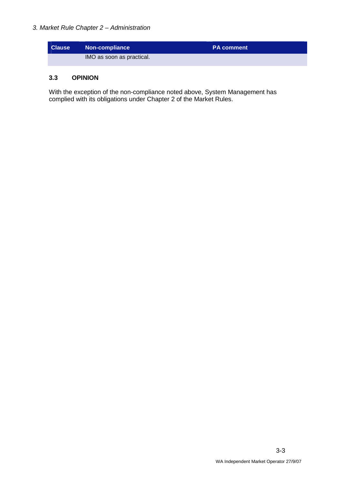

#### **3.3 OPINION**

With the exception of the non-compliance noted above, System Management has complied with its obligations under Chapter 2 of the Market Rules.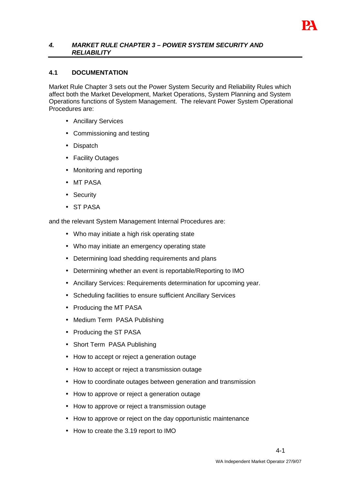

#### **4. MARKET RULE CHAPTER 3 – POWER SYSTEM SECURITY AND RELIABILITY**

#### **4.1 DOCUMENTATION**

Market Rule Chapter 3 sets out the Power System Security and Reliability Rules which affect both the Market Development, Market Operations, System Planning and System Operations functions of System Management. The relevant Power System Operational Procedures are:

- Ancillary Services
- Commissioning and testing
- Dispatch
- Facility Outages
- Monitoring and reporting
- MT PASA
- Security
- ST PASA

and the relevant System Management Internal Procedures are:

- Who may initiate a high risk operating state
- Who may initiate an emergency operating state
- Determining load shedding requirements and plans
- Determining whether an event is reportable/Reporting to IMO
- Ancillary Services: Requirements determination for upcoming year.
- Scheduling facilities to ensure sufficient Ancillary Services
- Producing the MT PASA
- Medium Term PASA Publishing
- Producing the ST PASA
- Short Term PASA Publishing
- How to accept or reject a generation outage
- How to accept or reject a transmission outage
- How to coordinate outages between generation and transmission
- How to approve or reject a generation outage
- How to approve or reject a transmission outage
- How to approve or reject on the day opportunistic maintenance
- How to create the 3.19 report to IMO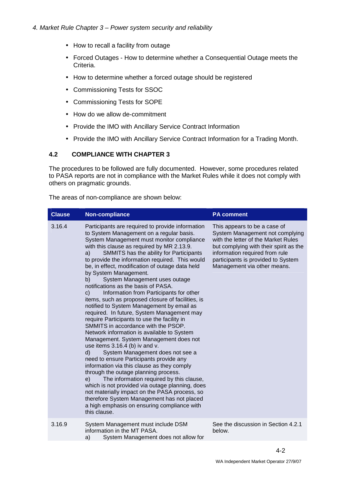- How to recall a facility from outage
- Forced Outages How to determine whether a Consequential Outage meets the Criteria.
- How to determine whether a forced outage should be registered
- Commissioning Tests for SSOC
- Commissioning Tests for SOPE
- How do we allow de-commitment
- Provide the IMO with Ancillary Service Contract Information
- Provide the IMO with Ancillary Service Contract Information for a Trading Month.

#### **4.2 COMPLIANCE WITH CHAPTER 3**

The procedures to be followed are fully documented. However, some procedures related to PASA reports are not in compliance with the Market Rules while it does not comply with others on pragmatic grounds.

The areas of non-compliance are shown below:

| <b>Clause</b> | <b>Non-compliance</b>                                                                                                                                                                                                                                                                                                                                                                                                                                                                                                                                                                                                                                                                                                                                                                                                                                                                                                                                                                                                                                                                                                                                                                                                                                                                                                | <b>PA comment</b>                                                                                                                                                                                                                                       |
|---------------|----------------------------------------------------------------------------------------------------------------------------------------------------------------------------------------------------------------------------------------------------------------------------------------------------------------------------------------------------------------------------------------------------------------------------------------------------------------------------------------------------------------------------------------------------------------------------------------------------------------------------------------------------------------------------------------------------------------------------------------------------------------------------------------------------------------------------------------------------------------------------------------------------------------------------------------------------------------------------------------------------------------------------------------------------------------------------------------------------------------------------------------------------------------------------------------------------------------------------------------------------------------------------------------------------------------------|---------------------------------------------------------------------------------------------------------------------------------------------------------------------------------------------------------------------------------------------------------|
| 3.16.4        | Participants are required to provide information<br>to System Management on a regular basis.<br>System Management must monitor compliance<br>with this clause as required by MR 2.13.9.<br>SMMITS has the ability for Participants<br>a)<br>to provide the information required. This would<br>be, in effect, modification of outage data held<br>by System Management.<br>System Management uses outage<br>b)<br>notifications as the basis of PASA.<br>Information from Participants for other<br>c)<br>items, such as proposed closure of facilities, is<br>notified to System Management by email as<br>required. In future, System Management may<br>require Participants to use the facility in<br>SMMITS in accordance with the PSOP.<br>Network information is available to System<br>Management. System Management does not<br>use items 3.16.4 (b) iv and v.<br>d)<br>System Management does not see a<br>need to ensure Participants provide any<br>information via this clause as they comply<br>through the outage planning process.<br>The information required by this clause,<br>e)<br>which is not provided via outage planning, does<br>not materially impact on the PASA process, so<br>therefore System Management has not placed<br>a high emphasis on ensuring compliance with<br>this clause. | This appears to be a case of<br>System Management not complying<br>with the letter of the Market Rules<br>but complying with their spirit as the<br>information required from rule<br>participants is provided to System<br>Management via other means. |
| 3.16.9        | System Management must include DSM<br>information in the MT PASA.<br>System Management does not allow for<br>a)                                                                                                                                                                                                                                                                                                                                                                                                                                                                                                                                                                                                                                                                                                                                                                                                                                                                                                                                                                                                                                                                                                                                                                                                      | See the discussion in Section 4.2.1<br>below.                                                                                                                                                                                                           |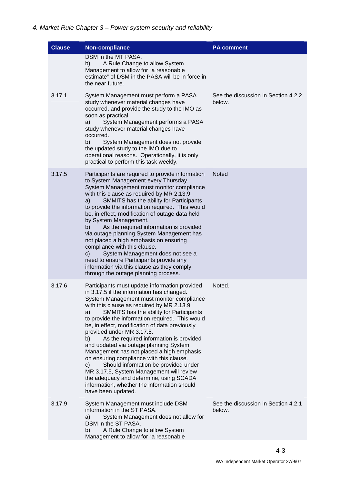| <b>Clause</b> | <b>Non-compliance</b>                                                                                                                                                                                                                                                                                                                                                                                                                                                                                                                                                                                                                                                                                                                                                  | <b>PA comment</b>                             |
|---------------|------------------------------------------------------------------------------------------------------------------------------------------------------------------------------------------------------------------------------------------------------------------------------------------------------------------------------------------------------------------------------------------------------------------------------------------------------------------------------------------------------------------------------------------------------------------------------------------------------------------------------------------------------------------------------------------------------------------------------------------------------------------------|-----------------------------------------------|
|               | DSM in the MT PASA.<br>A Rule Change to allow System<br>b)<br>Management to allow for "a reasonable<br>estimate" of DSM in the PASA will be in force in<br>the near future.                                                                                                                                                                                                                                                                                                                                                                                                                                                                                                                                                                                            |                                               |
| 3.17.1        | System Management must perform a PASA<br>study whenever material changes have<br>occurred, and provide the study to the IMO as<br>soon as practical.<br>System Management performs a PASA<br>a)<br>study whenever material changes have<br>occurred.<br>b)<br>System Management does not provide<br>the updated study to the IMO due to<br>operational reasons. Operationally, it is only<br>practical to perform this task weekly.                                                                                                                                                                                                                                                                                                                                    | See the discussion in Section 4.2.2<br>below. |
| 3.17.5        | Participants are required to provide information<br>to System Management every Thursday.<br>System Management must monitor compliance<br>with this clause as required by MR 2.13.9.<br>a)<br>SMMITS has the ability for Participants<br>to provide the information required. This would<br>be, in effect, modification of outage data held<br>by System Management.<br>As the required information is provided<br>b)<br>via outage planning System Management has<br>not placed a high emphasis on ensuring<br>compliance with this clause.<br>System Management does not see a<br>C)<br>need to ensure Participants provide any<br>information via this clause as they comply<br>through the outage planning process.                                                 | <b>Noted</b>                                  |
| 3.17.6        | Participants must update information provided<br>in 3.17.5 if the information has changed.<br>System Management must monitor compliance<br>with this clause as required by MR 2.13.9.<br>SMMITS has the ability for Participants<br>a)<br>to provide the information required. This would<br>be, in effect, modification of data previously<br>provided under MR 3.17.5.<br>As the required information is provided<br>b)<br>and updated via outage planning System<br>Management has not placed a high emphasis<br>on ensuring compliance with this clause.<br>Should information be provided under<br>C)<br>MR 3.17.5, System Management will review<br>the adequacy and determine, using SCADA<br>information, whether the information should<br>have been updated. | Noted.                                        |
| 3.17.9        | System Management must include DSM<br>information in the ST PASA.<br>System Management does not allow for<br>a)<br>DSM in the ST PASA.<br>A Rule Change to allow System<br>b)<br>Management to allow for "a reasonable                                                                                                                                                                                                                                                                                                                                                                                                                                                                                                                                                 | See the discussion in Section 4.2.1<br>below. |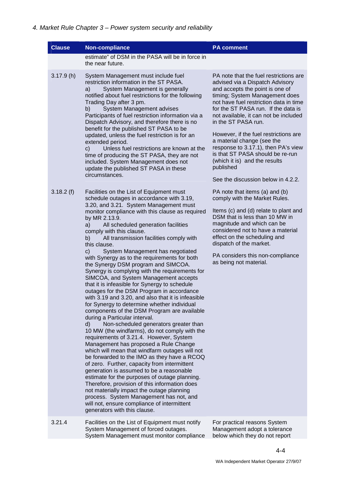| <b>Clause</b> | <b>Non-compliance</b>                                                                                                                                                                                                                                                                                                                                                                                                                                                                                                                                                                                                                                                                                                                                                                                                                                                                                                                                                                                                                                                                                                                                                           | <b>PA comment</b>                                                                                                                                                                                                                                                                                                                                                                                                                                                                                                                     |
|---------------|---------------------------------------------------------------------------------------------------------------------------------------------------------------------------------------------------------------------------------------------------------------------------------------------------------------------------------------------------------------------------------------------------------------------------------------------------------------------------------------------------------------------------------------------------------------------------------------------------------------------------------------------------------------------------------------------------------------------------------------------------------------------------------------------------------------------------------------------------------------------------------------------------------------------------------------------------------------------------------------------------------------------------------------------------------------------------------------------------------------------------------------------------------------------------------|---------------------------------------------------------------------------------------------------------------------------------------------------------------------------------------------------------------------------------------------------------------------------------------------------------------------------------------------------------------------------------------------------------------------------------------------------------------------------------------------------------------------------------------|
|               | estimate" of DSM in the PASA will be in force in<br>the near future.                                                                                                                                                                                                                                                                                                                                                                                                                                                                                                                                                                                                                                                                                                                                                                                                                                                                                                                                                                                                                                                                                                            |                                                                                                                                                                                                                                                                                                                                                                                                                                                                                                                                       |
| 3.17.9(h)     | System Management must include fuel<br>restriction information in the ST PASA.<br>System Management is generally<br>a)<br>notified about fuel restrictions for the following<br>Trading Day after 3 pm.<br>b)<br>System Management advises<br>Participants of fuel restriction information via a<br>Dispatch Advisory, and therefore there is no<br>benefit for the published ST PASA to be<br>updated, unless the fuel restriction is for an<br>extended period.<br>$\mathsf{c}$ )<br>Unless fuel restrictions are known at the<br>time of producing the ST PASA, they are not<br>included. System Management does not<br>update the published ST PASA in these<br>circumstances.                                                                                                                                                                                                                                                                                                                                                                                                                                                                                              | PA note that the fuel restrictions are<br>advised via a Dispatch Advisory<br>and accepts the point is one of<br>timing; System Management does<br>not have fuel restriction data in time<br>for the ST PASA run. If the data is<br>not available, it can not be included<br>in the ST PASA run.<br>However, if the fuel restrictions are<br>a material change (see the<br>response to 3.17.1), then PA's view<br>is that ST PASA should be re-run<br>(which it is) and the results<br>published<br>See the discussion below in 4.2.2. |
| 3.18.2(f)     | Facilities on the List of Equipment must<br>schedule outages in accordance with 3.19,<br>3.20, and 3.21. System Management must<br>monitor compliance with this clause as required<br>by MR 2.13.9.<br>a)<br>All scheduled generation facilities                                                                                                                                                                                                                                                                                                                                                                                                                                                                                                                                                                                                                                                                                                                                                                                                                                                                                                                                | PA note that items (a) and (b)<br>comply with the Market Rules.<br>Items (c) and (d) relate to plant and<br>DSM that is less than 10 MW in<br>magnitude and which can be                                                                                                                                                                                                                                                                                                                                                              |
|               | comply with this clause.<br>All transmission facilities comply with<br>b)<br>this clause.                                                                                                                                                                                                                                                                                                                                                                                                                                                                                                                                                                                                                                                                                                                                                                                                                                                                                                                                                                                                                                                                                       | considered not to have a material<br>effect on the scheduling and<br>dispatch of the market.                                                                                                                                                                                                                                                                                                                                                                                                                                          |
|               | C)<br>System Management has negotiated<br>with Synergy as to the requirements for both<br>the Synergy DSM program and SIMCOA.<br>Synergy is complying with the requirements for<br>SIMCOA, and System Management accepts<br>that it is infeasible for Synergy to schedule<br>outages for the DSM Program in accordance<br>with 3.19 and 3.20, and also that it is infeasible<br>for Synergy to determine whether individual<br>components of the DSM Program are available<br>during a Particular interval.<br>$\mathsf{d}$<br>Non-scheduled generators greater than<br>10 MW (the windfarms), do not comply with the<br>requirements of 3.21.4. However, System<br>Management has proposed a Rule Change<br>which will mean that windfarm outages will not<br>be forwarded to the IMO as they have a RCOQ<br>of zero. Further, capacity from intermittent<br>generation is assumed to be a reasonable<br>estimate for the purposes of outage planning.<br>Therefore, provision of this information does<br>not materially impact the outage planning<br>process. System Management has not, and<br>will not, ensure compliance of intermittent<br>generators with this clause. | PA considers this non-compliance<br>as being not material.                                                                                                                                                                                                                                                                                                                                                                                                                                                                            |
| 3.21.4        | Facilities on the List of Equipment must notify<br>System Management of forced outages.<br>System Management must monitor compliance                                                                                                                                                                                                                                                                                                                                                                                                                                                                                                                                                                                                                                                                                                                                                                                                                                                                                                                                                                                                                                            | For practical reasons System<br>Management adopt a tolerance<br>below which they do not report                                                                                                                                                                                                                                                                                                                                                                                                                                        |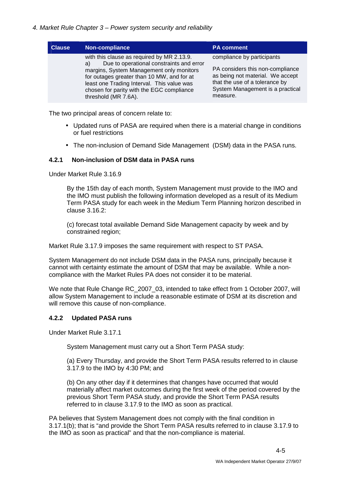| <b>Clause</b> | Non-compliance                                                                                                                                                                                                                                                                                            | <b>PA comment</b>                                                                                                                                                                    |
|---------------|-----------------------------------------------------------------------------------------------------------------------------------------------------------------------------------------------------------------------------------------------------------------------------------------------------------|--------------------------------------------------------------------------------------------------------------------------------------------------------------------------------------|
|               | with this clause as required by MR 2.13.9.<br>Due to operational constraints and error<br>a)<br>margins, System Management only monitors<br>for outages greater than 10 MW, and for at<br>least one Trading Interval. This value was<br>chosen for parity with the EGC compliance<br>threshold (MR 7.6A). | compliance by participants<br>PA considers this non-compliance<br>as being not material. We accept<br>that the use of a tolerance by<br>System Management is a practical<br>measure. |

The two principal areas of concern relate to:

- Updated runs of PASA are required when there is a material change in conditions or fuel restrictions
- The non-inclusion of Demand Side Management (DSM) data in the PASA runs.

#### **4.2.1 Non-inclusion of DSM data in PASA runs**

Under Market Rule 3.16.9

By the 15th day of each month, System Management must provide to the IMO and the IMO must publish the following information developed as a result of its Medium Term PASA study for each week in the Medium Term Planning horizon described in clause 3.16.2:

(c) forecast total available Demand Side Management capacity by week and by constrained region;

Market Rule 3.17.9 imposes the same requirement with respect to ST PASA.

System Management do not include DSM data in the PASA runs, principally because it cannot with certainty estimate the amount of DSM that may be available. While a noncompliance with the Market Rules PA does not consider it to be material.

We note that Rule Change RC 2007 03, intended to take effect from 1 October 2007, will allow System Management to include a reasonable estimate of DSM at its discretion and will remove this cause of non-compliance.

#### **4.2.2 Updated PASA runs**

Under Market Rule 3.17.1

System Management must carry out a Short Term PASA study:

(a) Every Thursday, and provide the Short Term PASA results referred to in clause 3.17.9 to the IMO by 4:30 PM; and

(b) On any other day if it determines that changes have occurred that would materially affect market outcomes during the first week of the period covered by the previous Short Term PASA study, and provide the Short Term PASA results referred to in clause 3.17.9 to the IMO as soon as practical.

PA believes that System Management does not comply with the final condition in 3.17.1(b); that is "and provide the Short Term PASA results referred to in clause 3.17.9 to the IMO as soon as practical" and that the non-compliance is material.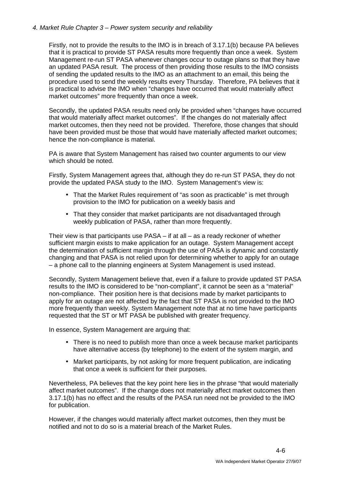#### 4. Market Rule Chapter 3 – Power system security and reliability

Firstly, not to provide the results to the IMO is in breach of 3.17.1(b) because PA believes that it is practical to provide ST PASA results more frequently than once a week. System Management re-run ST PASA whenever changes occur to outage plans so that they have an updated PASA result. The process of then providing those results to the IMO consists of sending the updated results to the IMO as an attachment to an email, this being the procedure used to send the weekly results every Thursday. Therefore, PA believes that it is practical to advise the IMO when "changes have occurred that would materially affect market outcomes" more frequently than once a week.

Secondly, the updated PASA results need only be provided when "changes have occurred that would materially affect market outcomes". If the changes do not materially affect market outcomes, then they need not be provided. Therefore, those changes that should have been provided must be those that would have materially affected market outcomes; hence the non-compliance is material.

PA is aware that System Management has raised two counter arguments to our view which should be noted.

Firstly, System Management agrees that, although they do re-run ST PASA, they do not provide the updated PASA study to the IMO. System Management's view is:

- That the Market Rules requirement of "as soon as practicable" is met through provision to the IMO for publication on a weekly basis and
- That they consider that market participants are not disadvantaged through weekly publication of PASA, rather than more frequently.

Their view is that participants use  $PASA - if$  at all  $-$  as a ready reckoner of whether sufficient margin exists to make application for an outage. System Management accept the determination of sufficient margin through the use of PASA is dynamic and constantly changing and that PASA is not relied upon for determining whether to apply for an outage – a phone call to the planning engineers at System Management is used instead.

Secondly, System Management believe that, even if a failure to provide updated ST PASA results to the IMO is considered to be "non-compliant", it cannot be seen as a "material" non-compliance. Their position here is that decisions made by market participants to apply for an outage are not affected by the fact that ST PASA is not provided to the IMO more frequently than weekly. System Management note that at no time have participants requested that the ST or MT PASA be published with greater frequency.

In essence, System Management are arguing that:

- There is no need to publish more than once a week because market participants have alternative access (by telephone) to the extent of the system margin, and
- Market participants, by not asking for more frequent publication, are indicating that once a week is sufficient for their purposes.

Nevertheless, PA believes that the key point here lies in the phrase "that would materially affect market outcomes". If the change does not materially affect market outcomes then 3.17.1(b) has no effect and the results of the PASA run need not be provided to the IMO for publication.

However, if the changes would materially affect market outcomes, then they must be notified and not to do so is a material breach of the Market Rules.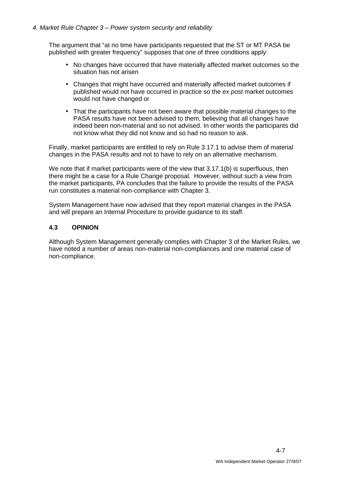The argument that "at no time have participants requested that the ST or MT PASA be published with greater frequency" supposes that one of three conditions apply:

- No changes have occurred that have materially affected market outcomes so the situation has not arisen
- Changes that might have occurred and materially affected market outcomes if published would not have occurred in practice so the ex post market outcomes would not have changed or
- That the participants have not been aware that possible material changes to the PASA results have not been advised to them, believing that all changes have indeed been non-material and so not advised. In other words the participants did not know what they did not know and so had no reason to ask.

Finally, market participants are entitled to rely on Rule 3.17.1 to advise them of material changes in the PASA results and not to have to rely on an alternative mechanism.

We note that if market participants were of the view that 3.17.1(b) is superfluous, then there might be a case for a Rule Change proposal. However, without such a view from the market participants, PA concludes that the failure to provide the results of the PASA run constitutes a material non-compliance with Chapter 3.

System Management have now advised that they report material changes in the PASA and will prepare an Internal Procedure to provide guidance to its staff.

#### **4.3 OPINION**

Although System Management generally complies with Chapter 3 of the Market Rules, we have noted a number of areas non-material non-compliances and one material case of non-compliance.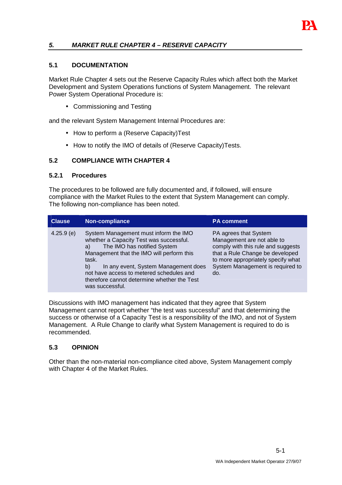

#### **5. MARKET RULE CHAPTER 4 – RESERVE CAPACITY**

#### **5.1 DOCUMENTATION**

Market Rule Chapter 4 sets out the Reserve Capacity Rules which affect both the Market Development and System Operations functions of System Management. The relevant Power System Operational Procedure is:

• Commissioning and Testing

and the relevant System Management Internal Procedures are:

- How to perform a (Reserve Capacity)Test
- How to notify the IMO of details of (Reserve Capacity)Tests.

#### **5.2 COMPLIANCE WITH CHAPTER 4**

#### **5.2.1 Procedures**

The procedures to be followed are fully documented and, if followed, will ensure compliance with the Market Rules to the extent that System Management can comply. The following non-compliance has been noted.

| <b>Clause</b> | Non-compliance                                                                                                                                                                                                                                                                                                                          | <b>PA comment</b>                                                                                                                                                                                             |
|---------------|-----------------------------------------------------------------------------------------------------------------------------------------------------------------------------------------------------------------------------------------------------------------------------------------------------------------------------------------|---------------------------------------------------------------------------------------------------------------------------------------------------------------------------------------------------------------|
| 4.25.9(e)     | System Management must inform the IMO<br>whether a Capacity Test was successful.<br>The IMO has notified System<br>a)<br>Management that the IMO will perform this<br>task.<br>In any event, System Management does<br>b)<br>not have access to metered schedules and<br>therefore cannot determine whether the Test<br>was successful. | PA agrees that System<br>Management are not able to<br>comply with this rule and suggests<br>that a Rule Change be developed<br>to more appropriately specify what<br>System Management is required to<br>do. |

Discussions with IMO management has indicated that they agree that System Management cannot report whether "the test was successful" and that determining the success or otherwise of a Capacity Test is a responsibility of the IMO, and not of System Management. A Rule Change to clarify what System Management is required to do is recommended.

#### **5.3 OPINION**

Other than the non-material non-compliance cited above, System Management comply with Chapter 4 of the Market Rules.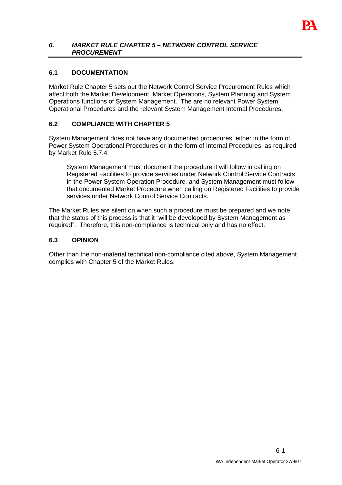

#### **6. MARKET RULE CHAPTER 5 – NETWORK CONTROL SERVICE PROCUREMENT**

#### **6.1 DOCUMENTATION**

Market Rule Chapter 5 sets out the Network Control Service Procurement Rules which affect both the Market Development, Market Operations, System Planning and System Operations functions of System Management. The are no relevant Power System Operational Procedures and the relevant System Management Internal Procedures.

#### **6.2 COMPLIANCE WITH CHAPTER 5**

System Management does not have any documented procedures, either in the form of Power System Operational Procedures or in the form of Internal Procedures, as required by Market Rule 5.7.4:

System Management must document the procedure it will follow in calling on Registered Facilities to provide services under Network Control Service Contracts in the Power System Operation Procedure, and System Management must follow that documented Market Procedure when calling on Registered Facilities to provide services under Network Control Service Contracts.

The Market Rules are silent on when such a procedure must be prepared and we note that the status of this process is that it "will be developed by System Management as required". Therefore, this non-compliance is technical only and has no effect.

#### **6.3 OPINION**

Other than the non-material technical non-compliance cited above, System Management complies with Chapter 5 of the Market Rules.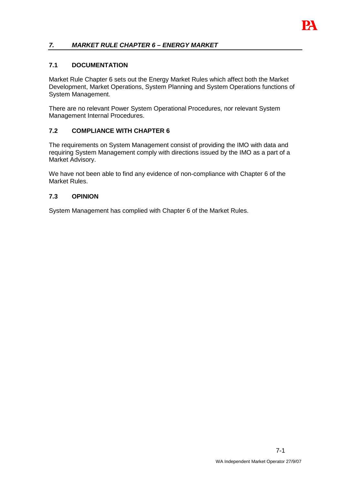

## **7. MARKET RULE CHAPTER 6 – ENERGY MARKET**

#### **7.1 DOCUMENTATION**

Market Rule Chapter 6 sets out the Energy Market Rules which affect both the Market Development, Market Operations, System Planning and System Operations functions of System Management.

There are no relevant Power System Operational Procedures, nor relevant System Management Internal Procedures.

#### **7.2 COMPLIANCE WITH CHAPTER 6**

The requirements on System Management consist of providing the IMO with data and requiring System Management comply with directions issued by the IMO as a part of a Market Advisory.

We have not been able to find any evidence of non-compliance with Chapter 6 of the Market Rules.

#### **7.3 OPINION**

System Management has complied with Chapter 6 of the Market Rules.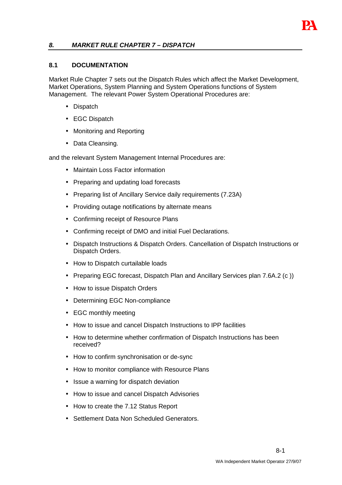# **8. MARKET RULE CHAPTER 7 – DISPATCH**

#### **8.1 DOCUMENTATION**

Market Rule Chapter 7 sets out the Dispatch Rules which affect the Market Development, Market Operations, System Planning and System Operations functions of System Management. The relevant Power System Operational Procedures are:

- Dispatch
- EGC Dispatch
- Monitoring and Reporting
- Data Cleansing.

and the relevant System Management Internal Procedures are:

- Maintain Loss Factor information
- Preparing and updating load forecasts
- Preparing list of Ancillary Service daily requirements (7.23A)
- Providing outage notifications by alternate means
- Confirming receipt of Resource Plans
- Confirming receipt of DMO and initial Fuel Declarations.
- Dispatch Instructions & Dispatch Orders. Cancellation of Dispatch Instructions or Dispatch Orders.
- How to Dispatch curtailable loads
- Preparing EGC forecast, Dispatch Plan and Ancillary Services plan 7.6A.2 (c))
- How to issue Dispatch Orders
- Determining EGC Non-compliance
- EGC monthly meeting
- How to issue and cancel Dispatch Instructions to IPP facilities
- How to determine whether confirmation of Dispatch Instructions has been received?
- How to confirm synchronisation or de-sync
- How to monitor compliance with Resource Plans
- Issue a warning for dispatch deviation
- How to issue and cancel Dispatch Advisories
- How to create the 7.12 Status Report
- Settlement Data Non Scheduled Generators.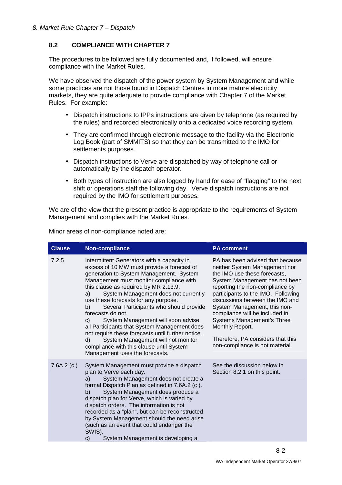## **8.2 COMPLIANCE WITH CHAPTER 7**

The procedures to be followed are fully documented and, if followed, will ensure compliance with the Market Rules.

We have observed the dispatch of the power system by System Management and while some practices are not those found in Dispatch Centres in more mature electricity markets, they are quite adequate to provide compliance with Chapter 7 of the Market Rules. For example:

- Dispatch instructions to IPPs instructions are given by telephone (as required by the rules) and recorded electronically onto a dedicated voice recording system.
- They are confirmed through electronic message to the facility via the Electronic Log Book (part of SMMITS) so that they can be transmitted to the IMO for settlements purposes.
- Dispatch instructions to Verve are dispatched by way of telephone call or automatically by the dispatch operator.
- Both types of instruction are also logged by hand for ease of "flagging" to the next shift or operations staff the following day. Verve dispatch instructions are not required by the IMO for settlement purposes.

We are of the view that the present practice is appropriate to the requirements of System Management and complies with the Market Rules.

Minor areas of non-compliance noted are:

| <b>Clause</b> | Non-compliance                                                                                                                                                                                                                                                                                                                                                                                                                                                                                                                                                                                                                                                 | <b>PA comment</b>                                                                                                                                                                                                                                                                                                                                                                                                                          |
|---------------|----------------------------------------------------------------------------------------------------------------------------------------------------------------------------------------------------------------------------------------------------------------------------------------------------------------------------------------------------------------------------------------------------------------------------------------------------------------------------------------------------------------------------------------------------------------------------------------------------------------------------------------------------------------|--------------------------------------------------------------------------------------------------------------------------------------------------------------------------------------------------------------------------------------------------------------------------------------------------------------------------------------------------------------------------------------------------------------------------------------------|
| 7.2.5         | Intermittent Generators with a capacity in<br>excess of 10 MW must provide a forecast of<br>generation to System Management. System<br>Management must monitor compliance with<br>this clause as required by MR 2.13.9.<br>System Management does not currently<br>a)<br>use these forecasts for any purpose.<br>Several Participants who should provide<br>b)<br>forecasts do not.<br>System Management will soon advise<br>C)<br>all Participants that System Management does<br>not require these forecasts until further notice.<br>System Management will not monitor<br>d)<br>compliance with this clause until System<br>Management uses the forecasts. | PA has been advised that because<br>neither System Management nor<br>the IMO use these forecasts,<br>System Management has not been<br>reporting the non-compliance by<br>participants to the IMO. Following<br>discussions between the IMO and<br>System Management, this non-<br>compliance will be included in<br>Systems Management's Three<br>Monthly Report.<br>Therefore, PA considers that this<br>non-compliance is not material. |
| 7.6A.2(c)     | System Management must provide a dispatch<br>plan to Verve each day.<br>System Management does not create a<br>a)<br>formal Dispatch Plan as defined in 7.6A.2 (c).<br>System Management does produce a<br>b)<br>dispatch plan for Verve, which is varied by<br>dispatch orders. The information is not<br>recorded as a "plan", but can be reconstructed<br>by System Management should the need arise<br>(such as an event that could endanger the<br>SWIS).<br>System Management is developing a<br>$\mathsf{c}$ )                                                                                                                                          | See the discussion below in<br>Section 8.2.1 on this point.                                                                                                                                                                                                                                                                                                                                                                                |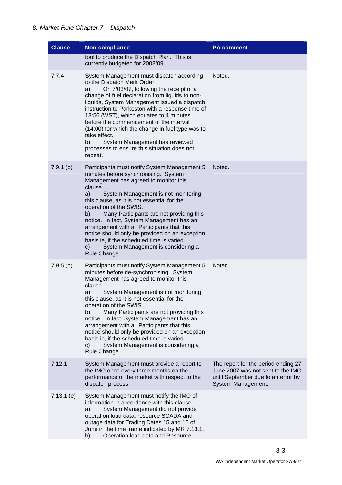| <b>Clause</b> | <b>Non-compliance</b>                                                                                                                                                                                                                                                                                                                                                                                                                                                                                                                                                       | <b>PA comment</b>                                                                                                                    |
|---------------|-----------------------------------------------------------------------------------------------------------------------------------------------------------------------------------------------------------------------------------------------------------------------------------------------------------------------------------------------------------------------------------------------------------------------------------------------------------------------------------------------------------------------------------------------------------------------------|--------------------------------------------------------------------------------------------------------------------------------------|
|               | tool to produce the Dispatch Plan. This is<br>currently budgeted for 2008/09.                                                                                                                                                                                                                                                                                                                                                                                                                                                                                               |                                                                                                                                      |
| 7.7.4         | System Management must dispatch according<br>to the Dispatch Merit Order.<br>a)<br>On 7/03/07, following the receipt of a<br>change of fuel declaration from liquids to non-<br>liquids, System Management issued a dispatch<br>instruction to Parkeston with a response time of<br>13:56 (WST), which equates to 4 minutes<br>before the commencement of the interval<br>(14:00) for which the change in fuel type was to<br>take effect.<br>System Management has reviewed<br>b)<br>processes to ensure this situation does not<br>repeat.                                | Noted.                                                                                                                               |
| $7.9.1$ (b)   | Participants must notify System Management 5<br>minutes before synchronising. System<br>Management has agreed to monitor this<br>clause.<br>System Management is not monitoring<br>a)<br>this clause, as it is not essential for the<br>operation of the SWIS.<br>Many Participants are not providing this<br>b)<br>notice. In fact, System Management has an<br>arrangement with all Participants that this<br>notice should only be provided on an exception<br>basis ie, if the scheduled time is varied.<br>System Management is considering a<br>C)<br>Rule Change.    | Noted.                                                                                                                               |
| 7.9.5(b)      | Participants must notify System Management 5<br>minutes before de-synchronising. System<br>Management has agreed to monitor this<br>clause.<br>System Management is not monitoring<br>a)<br>this clause, as it is not essential for the<br>operation of the SWIS.<br>Many Participants are not providing this<br>b)<br>notice. In fact, System Management has an<br>arrangement with all Participants that this<br>notice should only be provided on an exception<br>basis ie, if the scheduled time is varied.<br>System Management is considering a<br>C)<br>Rule Change. | Noted.                                                                                                                               |
| 7.12.1        | System Management must provide a report to<br>the IMO once every three months on the<br>performance of the market with respect to the<br>dispatch process.                                                                                                                                                                                                                                                                                                                                                                                                                  | The report for the period ending 27<br>June 2007 was not sent to the IMO<br>until September due to an error by<br>System Management. |
| $7.13.1$ (e)  | System Management must notify the IMO of<br>information in accordance with this clause.<br>System Management did not provide<br>a)<br>operation load data, resource SCADA and<br>outage data for Trading Dates 15 and 16 of<br>June in the time frame indicated by MR 7.13.1.<br>Operation load data and Resource<br>b)                                                                                                                                                                                                                                                     |                                                                                                                                      |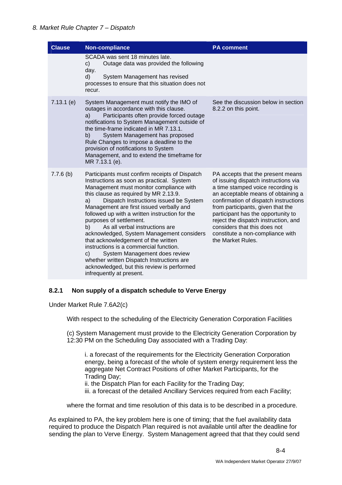#### 8. Market Rule Chapter 7 – Dispatch

| <b>Clause</b> | Non-compliance                                                                                                                                                                                                                                                                                                                                                                                                                                                                                                                                                                                                                                                                               | <b>PA comment</b>                                                                                                                                                                                                                                                                                                                                                                                         |
|---------------|----------------------------------------------------------------------------------------------------------------------------------------------------------------------------------------------------------------------------------------------------------------------------------------------------------------------------------------------------------------------------------------------------------------------------------------------------------------------------------------------------------------------------------------------------------------------------------------------------------------------------------------------------------------------------------------------|-----------------------------------------------------------------------------------------------------------------------------------------------------------------------------------------------------------------------------------------------------------------------------------------------------------------------------------------------------------------------------------------------------------|
|               | SCADA was sent 18 minutes late.<br>Outage data was provided the following<br>c)<br>day.<br>d)<br>System Management has revised<br>processes to ensure that this situation does not<br>recur.                                                                                                                                                                                                                                                                                                                                                                                                                                                                                                 |                                                                                                                                                                                                                                                                                                                                                                                                           |
| $7.13.1$ (e)  | System Management must notify the IMO of<br>outages in accordance with this clause.<br>Participants often provide forced outage<br>a)<br>notifications to System Management outside of<br>the time-frame indicated in MR 7.13.1.<br>System Management has proposed<br>b)<br>Rule Changes to impose a deadline to the<br>provision of notifications to System<br>Management, and to extend the timeframe for<br>MR 7.13.1 (e).                                                                                                                                                                                                                                                                | See the discussion below in section<br>8.2.2 on this point.                                                                                                                                                                                                                                                                                                                                               |
| $7.7.6$ (b)   | Participants must confirm receipts of Dispatch<br>Instructions as soon as practical. System<br>Management must monitor compliance with<br>this clause as required by MR 2.13.9.<br>a)<br>Dispatch Instructions issued be System<br>Management are first issued verbally and<br>followed up with a written instruction for the<br>purposes of settlement.<br>As all verbal instructions are<br>b)<br>acknowledged, System Management considers<br>that acknowledgement of the written<br>instructions is a commercial function.<br>C)<br>System Management does review<br>whether written Dispatch Instructions are<br>acknowledged, but this review is performed<br>infrequently at present. | PA accepts that the present means<br>of issuing dispatch instructions via<br>a time stamped voice recording is<br>an acceptable means of obtaining a<br>confirmation of dispatch instructions<br>from participants, given that the<br>participant has the opportunity to<br>reject the dispatch instruction, and<br>considers that this does not<br>constitute a non-compliance with<br>the Market Rules. |

#### **8.2.1 Non supply of a dispatch schedule to Verve Energy**

Under Market Rule 7.6A2(c)

With respect to the scheduling of the Electricity Generation Corporation Facilities

(c) System Management must provide to the Electricity Generation Corporation by 12:30 PM on the Scheduling Day associated with a Trading Day:

i. a forecast of the requirements for the Electricity Generation Corporation energy, being a forecast of the whole of system energy requirement less the aggregate Net Contract Positions of other Market Participants, for the Trading Day;

ii. the Dispatch Plan for each Facility for the Trading Day;

iii. a forecast of the detailed Ancillary Services required from each Facility;

where the format and time resolution of this data is to be described in a procedure.

As explained to PA, the key problem here is one of timing; that the fuel availability data required to produce the Dispatch Plan required is not available until after the deadline for sending the plan to Verve Energy. System Management agreed that that they could send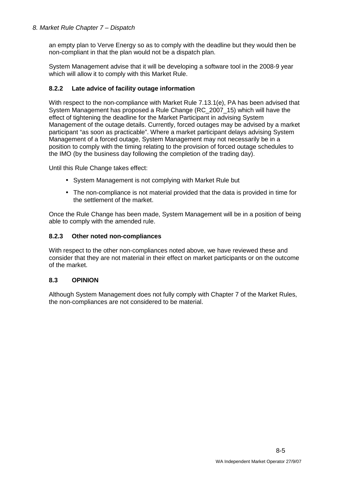#### 8. Market Rule Chapter 7 – Dispatch

an empty plan to Verve Energy so as to comply with the deadline but they would then be non-compliant in that the plan would not be a dispatch plan.

System Management advise that it will be developing a software tool in the 2008-9 year which will allow it to comply with this Market Rule.

#### **8.2.2 Late advice of facility outage information**

With respect to the non-compliance with Market Rule 7.13.1(e), PA has been advised that System Management has proposed a Rule Change (RC\_2007\_15) which will have the effect of tightening the deadline for the Market Participant in advising System Management of the outage details. Currently, forced outages may be advised by a market participant "as soon as practicable". Where a market participant delays advising System Management of a forced outage, System Management may not necessarily be in a position to comply with the timing relating to the provision of forced outage schedules to the IMO (by the business day following the completion of the trading day).

Until this Rule Change takes effect:

- System Management is not complying with Market Rule but
- The non-compliance is not material provided that the data is provided in time for the settlement of the market.

Once the Rule Change has been made, System Management will be in a position of being able to comply with the amended rule.

#### **8.2.3 Other noted non-compliances**

With respect to the other non-compliances noted above, we have reviewed these and consider that they are not material in their effect on market participants or on the outcome of the market.

#### **8.3 OPINION**

Although System Management does not fully comply with Chapter 7 of the Market Rules, the non-compliances are not considered to be material.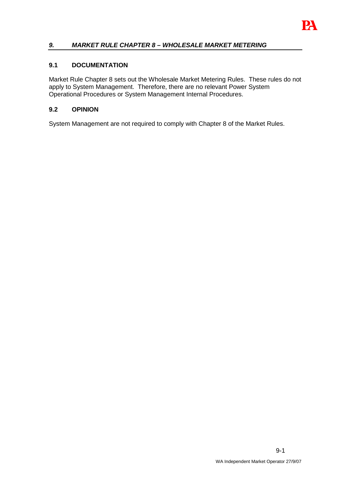

### **9. MARKET RULE CHAPTER 8 – WHOLESALE MARKET METERING**

#### **9.1 DOCUMENTATION**

Market Rule Chapter 8 sets out the Wholesale Market Metering Rules. These rules do not apply to System Management. Therefore, there are no relevant Power System Operational Procedures or System Management Internal Procedures.

#### **9.2 OPINION**

System Management are not required to comply with Chapter 8 of the Market Rules.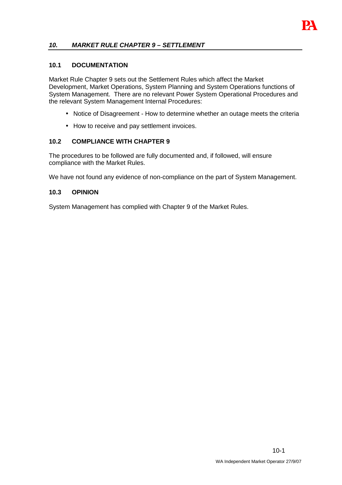

#### **10. MARKET RULE CHAPTER 9 – SETTLEMENT**

#### **10.1 DOCUMENTATION**

Market Rule Chapter 9 sets out the Settlement Rules which affect the Market Development, Market Operations, System Planning and System Operations functions of System Management. There are no relevant Power System Operational Procedures and the relevant System Management Internal Procedures:

- Notice of Disagreement How to determine whether an outage meets the criteria
- How to receive and pay settlement invoices.

#### **10.2 COMPLIANCE WITH CHAPTER 9**

The procedures to be followed are fully documented and, if followed, will ensure compliance with the Market Rules.

We have not found any evidence of non-compliance on the part of System Management.

#### **10.3 OPINION**

System Management has complied with Chapter 9 of the Market Rules.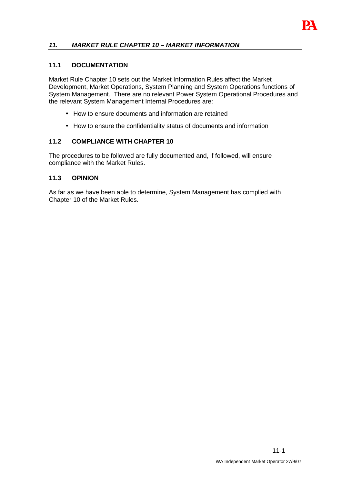

### **11. MARKET RULE CHAPTER 10 – MARKET INFORMATION**

#### **11.1 DOCUMENTATION**

Market Rule Chapter 10 sets out the Market Information Rules affect the Market Development, Market Operations, System Planning and System Operations functions of System Management. There are no relevant Power System Operational Procedures and the relevant System Management Internal Procedures are:

- How to ensure documents and information are retained
- How to ensure the confidentiality status of documents and information

#### **11.2 COMPLIANCE WITH CHAPTER 10**

The procedures to be followed are fully documented and, if followed, will ensure compliance with the Market Rules.

#### **11.3 OPINION**

As far as we have been able to determine, System Management has complied with Chapter 10 of the Market Rules.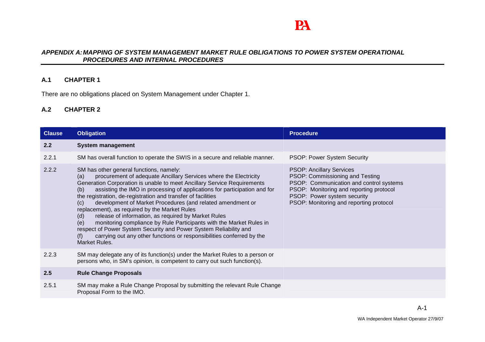# PA

#### **APPENDIX A: MAPPING OF SYSTEM MANAGEMENT MARKET RULE OBLIGATIONS TO POWER SYSTEM OPERATIONAL PROCEDURES AND INTERNAL PROCEDURES**

#### **A.1 CHAPTER 1**

There are no obligations placed on System Management under Chapter 1.

# **A.2 CHAPTER 2**

| <b>Clause</b> | <b>Obligation</b>                                                                                                                                                                                                                                                                                                                                                                                                                                                                                                                                                                                                                                                                                                                                                                         | <b>Procedure</b>                                                                                                                                                                                                                   |
|---------------|-------------------------------------------------------------------------------------------------------------------------------------------------------------------------------------------------------------------------------------------------------------------------------------------------------------------------------------------------------------------------------------------------------------------------------------------------------------------------------------------------------------------------------------------------------------------------------------------------------------------------------------------------------------------------------------------------------------------------------------------------------------------------------------------|------------------------------------------------------------------------------------------------------------------------------------------------------------------------------------------------------------------------------------|
| $2.2^{\circ}$ | <b>System management</b>                                                                                                                                                                                                                                                                                                                                                                                                                                                                                                                                                                                                                                                                                                                                                                  |                                                                                                                                                                                                                                    |
| 2.2.1         | SM has overall function to operate the SWIS in a secure and reliable manner.                                                                                                                                                                                                                                                                                                                                                                                                                                                                                                                                                                                                                                                                                                              | <b>PSOP: Power System Security</b>                                                                                                                                                                                                 |
| 2.2.2         | SM has other general functions, namely:<br>procurement of adequate Ancillary Services where the Electricity<br>(a)<br>Generation Corporation is unable to meet Ancillary Service Requirements<br>assisting the IMO in processing of applications for participation and for<br>(b)<br>the registration, de-registration and transfer of facilities<br>development of Market Procedures (and related amendment or<br>(c)<br>replacement), as required by the Market Rules<br>release of information, as required by Market Rules<br>(d)<br>monitoring compliance by Rule Participants with the Market Rules in<br>(e)<br>respect of Power System Security and Power System Reliability and<br>carrying out any other functions or responsibilities conferred by the<br>(f)<br>Market Rules. | <b>PSOP: Ancillary Services</b><br>PSOP: Commissioning and Testing<br>PSOP: Communication and control systems<br>PSOP: Monitoring and reporting protocol<br>PSOP: Power system security<br>PSOP: Monitoring and reporting protocol |
| 2.2.3         | SM may delegate any of its function(s) under the Market Rules to a person or<br>persons who, in SM's opinion, is competent to carry out such function(s).                                                                                                                                                                                                                                                                                                                                                                                                                                                                                                                                                                                                                                 |                                                                                                                                                                                                                                    |
| 2.5           | <b>Rule Change Proposals</b>                                                                                                                                                                                                                                                                                                                                                                                                                                                                                                                                                                                                                                                                                                                                                              |                                                                                                                                                                                                                                    |
| 2.5.1         | SM may make a Rule Change Proposal by submitting the relevant Rule Change<br>Proposal Form to the IMO.                                                                                                                                                                                                                                                                                                                                                                                                                                                                                                                                                                                                                                                                                    |                                                                                                                                                                                                                                    |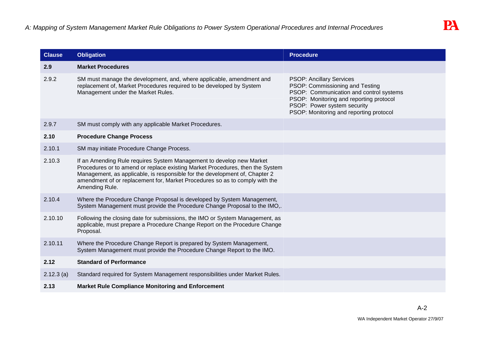| <b>Clause</b> | <b>Obligation</b>                                                                                                                                                                                                                                                                                                                     | <b>Procedure</b>                                                                                                                                                                                                                   |
|---------------|---------------------------------------------------------------------------------------------------------------------------------------------------------------------------------------------------------------------------------------------------------------------------------------------------------------------------------------|------------------------------------------------------------------------------------------------------------------------------------------------------------------------------------------------------------------------------------|
| 2.9           | <b>Market Procedures</b>                                                                                                                                                                                                                                                                                                              |                                                                                                                                                                                                                                    |
| 2.9.2         | SM must manage the development, and, where applicable, amendment and<br>replacement of, Market Procedures required to be developed by System<br>Management under the Market Rules.                                                                                                                                                    | <b>PSOP: Ancillary Services</b><br>PSOP: Commissioning and Testing<br>PSOP: Communication and control systems<br>PSOP: Monitoring and reporting protocol<br>PSOP: Power system security<br>PSOP: Monitoring and reporting protocol |
| 2.9.7         | SM must comply with any applicable Market Procedures.                                                                                                                                                                                                                                                                                 |                                                                                                                                                                                                                                    |
| 2.10          | <b>Procedure Change Process</b>                                                                                                                                                                                                                                                                                                       |                                                                                                                                                                                                                                    |
| 2.10.1        | SM may initiate Procedure Change Process.                                                                                                                                                                                                                                                                                             |                                                                                                                                                                                                                                    |
| 2.10.3        | If an Amending Rule requires System Management to develop new Market<br>Procedures or to amend or replace existing Market Procedures, then the System<br>Management, as applicable, is responsible for the development of, Chapter 2<br>amendment of or replacement for, Market Procedures so as to comply with the<br>Amending Rule. |                                                                                                                                                                                                                                    |
| 2.10.4        | Where the Procedure Change Proposal is developed by System Management,<br>System Management must provide the Procedure Change Proposal to the IMO,.                                                                                                                                                                                   |                                                                                                                                                                                                                                    |
| 2.10.10       | Following the closing date for submissions, the IMO or System Management, as<br>applicable, must prepare a Procedure Change Report on the Procedure Change<br>Proposal.                                                                                                                                                               |                                                                                                                                                                                                                                    |
| 2.10.11       | Where the Procedure Change Report is prepared by System Management,<br>System Management must provide the Procedure Change Report to the IMO.                                                                                                                                                                                         |                                                                                                                                                                                                                                    |
| 2.12          | <b>Standard of Performance</b>                                                                                                                                                                                                                                                                                                        |                                                                                                                                                                                                                                    |
| $2.12.3$ (a)  | Standard required for System Management responsibilities under Market Rules.                                                                                                                                                                                                                                                          |                                                                                                                                                                                                                                    |
| 2.13          | <b>Market Rule Compliance Monitoring and Enforcement</b>                                                                                                                                                                                                                                                                              |                                                                                                                                                                                                                                    |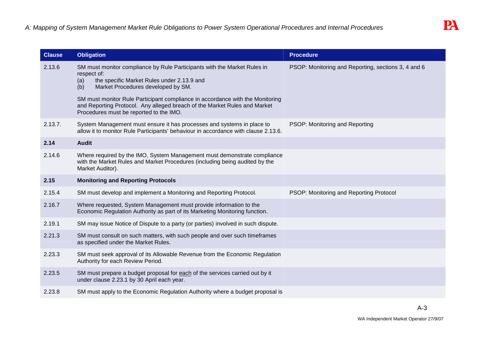| <b>Clause</b> | <b>Obligation</b>                                                                                                                                                                                                                                                                                                                                       | <b>Procedure</b>                                    |
|---------------|---------------------------------------------------------------------------------------------------------------------------------------------------------------------------------------------------------------------------------------------------------------------------------------------------------------------------------------------------------|-----------------------------------------------------|
| 2.13.6        | SM must monitor compliance by Rule Participants with the Market Rules in<br>respect of:<br>the specific Market Rules under 2.13.9 and<br>(a)<br>Market Procedures developed by SM.<br>(b)<br>SM must monitor Rule Participant compliance in accordance with the Monitoring<br>and Reporting Protocol. Any alleged breach of the Market Rules and Market | PSOP: Monitoring and Reporting, sections 3, 4 and 6 |
|               | Procedures must be reported to the IMO.                                                                                                                                                                                                                                                                                                                 |                                                     |
| 2.13.7.       | System Management must ensure it has processes and systems in place to<br>allow it to monitor Rule Participants' behaviour in accordance with clause 2.13.6.                                                                                                                                                                                            | PSOP: Monitoring and Reporting                      |
| 2.14          | <b>Audit</b>                                                                                                                                                                                                                                                                                                                                            |                                                     |
| 2.14.6        | Where required by the IMO, System Management must demonstrate compliance<br>with the Market Rules and Market Procedures (including being audited by the<br>Market Auditor).                                                                                                                                                                             |                                                     |
| 2.15          | <b>Monitoring and Reporting Protocols</b>                                                                                                                                                                                                                                                                                                               |                                                     |
| 2.15.4        | SM must develop and implement a Monitoring and Reporting Protocol.                                                                                                                                                                                                                                                                                      | PSOP: Monitoring and Reporting Protocol             |
| 2.16.7        | Where requested, System Management must provide information to the<br>Economic Regulation Authority as part of its Marketing Monitoring function.                                                                                                                                                                                                       |                                                     |
| 2.19.1        | SM may issue Notice of Dispute to a party (or parties) involved in such dispute.                                                                                                                                                                                                                                                                        |                                                     |
| 2.21.3        | SM must consult on such matters, with such people and over such timeframes<br>as specified under the Market Rules.                                                                                                                                                                                                                                      |                                                     |
| 2.23.3        | SM must seek approval of its Allowable Revenue from the Economic Regulation<br>Authority for each Review Period.                                                                                                                                                                                                                                        |                                                     |
| 2.23.5        | SM must prepare a budget proposal for each of the services carried out by it<br>under clause 2.23.1 by 30 April each year.                                                                                                                                                                                                                              |                                                     |
| 2.23.8        | SM must apply to the Economic Regulation Authority where a budget proposal is                                                                                                                                                                                                                                                                           |                                                     |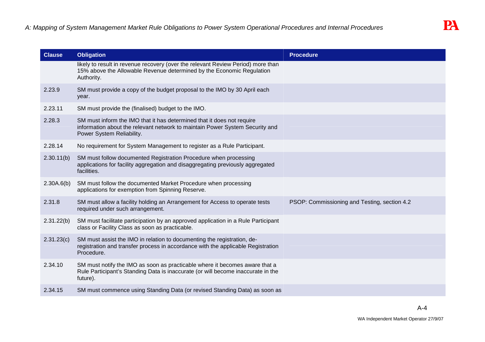| <b>Clause</b> | <b>Obligation</b>                                                                                                                                                                   | <b>Procedure</b>                             |
|---------------|-------------------------------------------------------------------------------------------------------------------------------------------------------------------------------------|----------------------------------------------|
|               | likely to result in revenue recovery (over the relevant Review Period) more than<br>15% above the Allowable Revenue determined by the Economic Regulation<br>Authority.             |                                              |
| 2.23.9        | SM must provide a copy of the budget proposal to the IMO by 30 April each<br>year.                                                                                                  |                                              |
| 2.23.11       | SM must provide the (finalised) budget to the IMO.                                                                                                                                  |                                              |
| 2.28.3        | SM must inform the IMO that it has determined that it does not require<br>information about the relevant network to maintain Power System Security and<br>Power System Reliability. |                                              |
| 2.28.14       | No requirement for System Management to register as a Rule Participant.                                                                                                             |                                              |
| 2.30.11(b)    | SM must follow documented Registration Procedure when processing<br>applications for facility aggregation and disaggregating previously aggregated<br>facilities.                   |                                              |
| 2.30A.6(b)    | SM must follow the documented Market Procedure when processing<br>applications for exemption from Spinning Reserve.                                                                 |                                              |
| 2.31.8        | SM must allow a facility holding an Arrangement for Access to operate tests<br>required under such arrangement.                                                                     | PSOP: Commissioning and Testing, section 4.2 |
| 2.31.22(b)    | SM must facilitate participation by an approved application in a Rule Participant<br>class or Facility Class as soon as practicable.                                                |                                              |
| 2.31.23(c)    | SM must assist the IMO in relation to documenting the registration, de-<br>registration and transfer process in accordance with the applicable Registration<br>Procedure.           |                                              |
| 2.34.10       | SM must notify the IMO as soon as practicable where it becomes aware that a<br>Rule Participant's Standing Data is inaccurate (or will become inaccurate in the<br>future).         |                                              |
| 2.34.15       | SM must commence using Standing Data (or revised Standing Data) as soon as                                                                                                          |                                              |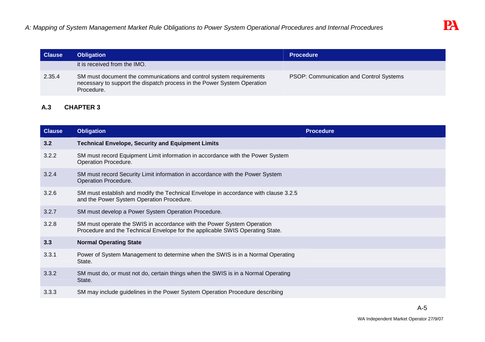| <b>Clause</b> | <b>Obligation</b>                                                                                                                                            | <b>Procedure</b>                        |
|---------------|--------------------------------------------------------------------------------------------------------------------------------------------------------------|-----------------------------------------|
|               | it is received from the IMO.                                                                                                                                 |                                         |
| 2.35.4        | SM must document the communications and control system requirements<br>necessary to support the dispatch process in the Power System Operation<br>Procedure. | PSOP: Communication and Control Systems |

# **A.3 CHAPTER 3**

| <b>Clause</b> | <b>Obligation</b>                                                                                                                                       | <b>Procedure</b> |
|---------------|---------------------------------------------------------------------------------------------------------------------------------------------------------|------------------|
| 3.2           | <b>Technical Envelope, Security and Equipment Limits</b>                                                                                                |                  |
| 3.2.2         | SM must record Equipment Limit information in accordance with the Power System<br>Operation Procedure.                                                  |                  |
| 3.2.4         | SM must record Security Limit information in accordance with the Power System<br>Operation Procedure.                                                   |                  |
| 3.2.6         | SM must establish and modify the Technical Envelope in accordance with clause 3.2.5<br>and the Power System Operation Procedure.                        |                  |
| 3.2.7         | SM must develop a Power System Operation Procedure.                                                                                                     |                  |
| 3.2.8         | SM must operate the SWIS in accordance with the Power System Operation<br>Procedure and the Technical Envelope for the applicable SWIS Operating State. |                  |
| 3.3           | <b>Normal Operating State</b>                                                                                                                           |                  |
| 3.3.1         | Power of System Management to determine when the SWIS is in a Normal Operating<br>State.                                                                |                  |
| 3.3.2         | SM must do, or must not do, certain things when the SWIS is in a Normal Operating<br>State.                                                             |                  |
| 3.3.3         | SM may include guidelines in the Power System Operation Procedure describing                                                                            |                  |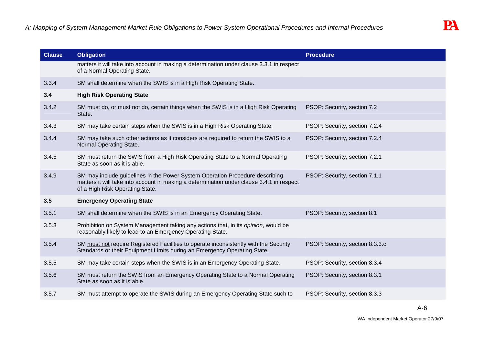| <b>Clause</b> | <b>Obligation</b>                                                                                                                                                                                            | <b>Procedure</b>                |
|---------------|--------------------------------------------------------------------------------------------------------------------------------------------------------------------------------------------------------------|---------------------------------|
|               | matters it will take into account in making a determination under clause 3.3.1 in respect<br>of a Normal Operating State.                                                                                    |                                 |
| 3.3.4         | SM shall determine when the SWIS is in a High Risk Operating State.                                                                                                                                          |                                 |
| 3.4           | <b>High Risk Operating State</b>                                                                                                                                                                             |                                 |
| 3.4.2         | SM must do, or must not do, certain things when the SWIS is in a High Risk Operating<br>State.                                                                                                               | PSOP: Security, section 7.2     |
| 3.4.3         | SM may take certain steps when the SWIS is in a High Risk Operating State.                                                                                                                                   | PSOP: Security, section 7.2.4   |
| 3.4.4         | SM may take such other actions as it considers are required to return the SWIS to a<br>Normal Operating State.                                                                                               | PSOP: Security, section 7.2.4   |
| 3.4.5         | SM must return the SWIS from a High Risk Operating State to a Normal Operating<br>State as soon as it is able.                                                                                               | PSOP: Security, section 7.2.1   |
| 3.4.9         | SM may include guidelines in the Power System Operation Procedure describing<br>matters it will take into account in making a determination under clause 3.4.1 in respect<br>of a High Risk Operating State. | PSOP: Security, section 7.1.1   |
| 3.5           | <b>Emergency Operating State</b>                                                                                                                                                                             |                                 |
| 3.5.1         | SM shall determine when the SWIS is in an Emergency Operating State.                                                                                                                                         | PSOP: Security, section 8.1     |
| 3.5.3         | Prohibition on System Management taking any actions that, in its opinion, would be<br>reasonably likely to lead to an Emergency Operating State.                                                             |                                 |
| 3.5.4         | SM must not require Registered Facilities to operate inconsistently with the Security<br>Standards or their Equipment Limits during an Emergency Operating State.                                            | PSOP: Security, section 8.3.3.c |
| 3.5.5         | SM may take certain steps when the SWIS is in an Emergency Operating State.                                                                                                                                  | PSOP: Security, section 8.3.4   |
| 3.5.6         | SM must return the SWIS from an Emergency Operating State to a Normal Operating<br>State as soon as it is able.                                                                                              | PSOP: Security, section 8.3.1   |
| 3.5.7         | SM must attempt to operate the SWIS during an Emergency Operating State such to                                                                                                                              | PSOP: Security, section 8.3.3   |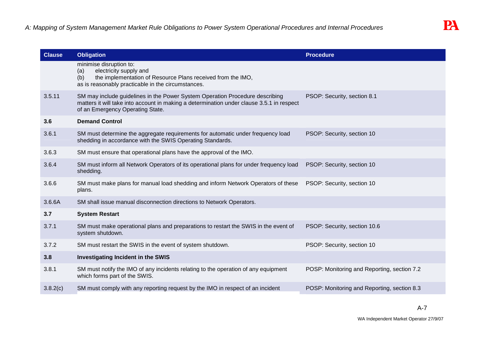| <b>Clause</b> | <b>Obligation</b>                                                                                                                                                                                             | <b>Procedure</b>                            |
|---------------|---------------------------------------------------------------------------------------------------------------------------------------------------------------------------------------------------------------|---------------------------------------------|
|               | minimise disruption to:<br>electricity supply and<br>(a)<br>the implementation of Resource Plans received from the IMO,<br>(b)<br>as is reasonably practicable in the circumstances.                          |                                             |
| 3.5.11        | SM may include guidelines in the Power System Operation Procedure describing<br>matters it will take into account in making a determination under clause 3.5.1 in respect<br>of an Emergency Operating State. | PSOP: Security, section 8.1                 |
| 3.6           | <b>Demand Control</b>                                                                                                                                                                                         |                                             |
| 3.6.1         | SM must determine the aggregate requirements for automatic under frequency load<br>shedding in accordance with the SWIS Operating Standards.                                                                  | PSOP: Security, section 10                  |
| 3.6.3         | SM must ensure that operational plans have the approval of the IMO.                                                                                                                                           |                                             |
| 3.6.4         | SM must inform all Network Operators of its operational plans for under frequency load<br>shedding.                                                                                                           | PSOP: Security, section 10                  |
| 3.6.6         | SM must make plans for manual load shedding and inform Network Operators of these<br>plans.                                                                                                                   | PSOP: Security, section 10                  |
| 3.6.6A        | SM shall issue manual disconnection directions to Network Operators.                                                                                                                                          |                                             |
| 3.7           | <b>System Restart</b>                                                                                                                                                                                         |                                             |
| 3.7.1         | SM must make operational plans and preparations to restart the SWIS in the event of<br>system shutdown.                                                                                                       | PSOP: Security, section 10.6                |
| 3.7.2         | SM must restart the SWIS in the event of system shutdown.                                                                                                                                                     | PSOP: Security, section 10                  |
| 3.8           | Investigating Incident in the SWIS                                                                                                                                                                            |                                             |
| 3.8.1         | SM must notify the IMO of any incidents relating to the operation of any equipment<br>which forms part of the SWIS.                                                                                           | POSP: Monitoring and Reporting, section 7.2 |
| 3.8.2(c)      | SM must comply with any reporting request by the IMO in respect of an incident                                                                                                                                | POSP: Monitoring and Reporting, section 8.3 |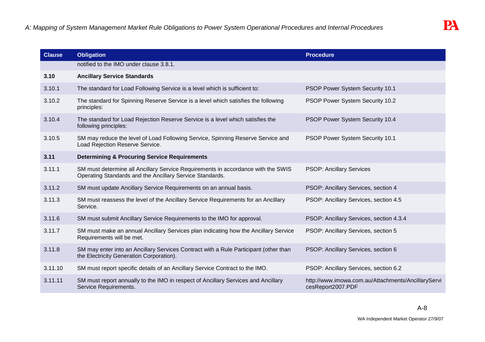| <b>Clause</b> | <b>Obligation</b>                                                                                                                            | <b>Procedure</b>                                                        |
|---------------|----------------------------------------------------------------------------------------------------------------------------------------------|-------------------------------------------------------------------------|
|               | notified to the IMO under clause 3.8.1.                                                                                                      |                                                                         |
| 3.10          | <b>Ancillary Service Standards</b>                                                                                                           |                                                                         |
| 3.10.1        | The standard for Load Following Service is a level which is sufficient to:                                                                   | PSOP Power System Security 10.1                                         |
| 3.10.2        | The standard for Spinning Reserve Service is a level which satisfies the following<br>principles:                                            | PSOP Power System Security 10.2                                         |
| 3.10.4        | The standard for Load Rejection Reserve Service is a level which satisfies the<br>following principles:                                      | PSOP Power System Security 10.4                                         |
| 3.10.5        | SM may reduce the level of Load Following Service, Spinning Reserve Service and<br>Load Rejection Reserve Service.                           | PSOP Power System Security 10.1                                         |
| 3.11          | <b>Determining &amp; Procuring Service Requirements</b>                                                                                      |                                                                         |
| 3.11.1        | SM must determine all Ancillary Service Requirements in accordance with the SWIS<br>Operating Standards and the Ancillary Service Standards. | <b>PSOP: Ancillary Services</b>                                         |
| 3.11.2        | SM must update Ancillary Service Requirements on an annual basis.                                                                            | PSOP: Ancillary Services, section 4                                     |
| 3.11.3        | SM must reassess the level of the Ancillary Service Requirements for an Ancillary<br>Service.                                                | PSOP: Ancillary Services, section 4.5                                   |
| 3.11.6        | SM must submit Ancillary Service Requirements to the IMO for approval.                                                                       | PSOP: Ancillary Services, section 4.3.4                                 |
| 3.11.7        | SM must make an annual Ancillary Services plan indicating how the Ancillary Service<br>Requirements will be met.                             | PSOP: Ancillary Services, section 5                                     |
| 3.11.8        | SM may enter into an Ancillary Services Contract with a Rule Participant (other than<br>the Electricity Generation Corporation).             | PSOP: Ancillary Services, section 6                                     |
| 3.11.10       | SM must report specific details of an Ancillary Service Contract to the IMO.                                                                 | PSOP: Ancillary Services, section 6.2                                   |
| 3.11.11       | SM must report annually to the IMO in respect of Ancillary Services and Ancillary<br>Service Requirements.                                   | http://www.imowa.com.au/Attachments/AncillaryServi<br>cesReport2007.PDF |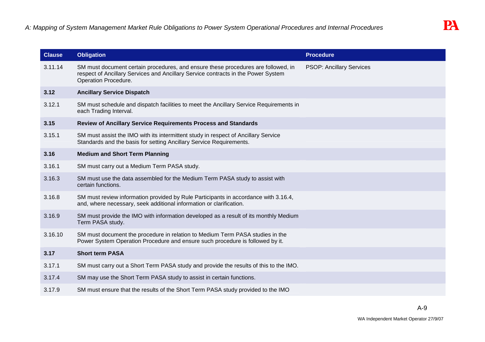| <b>Clause</b> | <b>Obligation</b>                                                                                                                                                                              | <b>Procedure</b>                |
|---------------|------------------------------------------------------------------------------------------------------------------------------------------------------------------------------------------------|---------------------------------|
| 3.11.14       | SM must document certain procedures, and ensure these procedures are followed, in<br>respect of Ancillary Services and Ancillary Service contracts in the Power System<br>Operation Procedure. | <b>PSOP: Ancillary Services</b> |
| 3.12          | <b>Ancillary Service Dispatch</b>                                                                                                                                                              |                                 |
| 3.12.1        | SM must schedule and dispatch facilities to meet the Ancillary Service Requirements in<br>each Trading Interval.                                                                               |                                 |
| 3.15          | Review of Ancillary Service Requirements Process and Standards                                                                                                                                 |                                 |
| 3.15.1        | SM must assist the IMO with its intermittent study in respect of Ancillary Service<br>Standards and the basis for setting Ancillary Service Requirements.                                      |                                 |
| 3.16          | <b>Medium and Short Term Planning</b>                                                                                                                                                          |                                 |
| 3.16.1        | SM must carry out a Medium Term PASA study.                                                                                                                                                    |                                 |
| 3.16.3        | SM must use the data assembled for the Medium Term PASA study to assist with<br>certain functions.                                                                                             |                                 |
| 3.16.8        | SM must review information provided by Rule Participants in accordance with 3.16.4,<br>and, where necessary, seek additional information or clarification.                                     |                                 |
| 3.16.9        | SM must provide the IMO with information developed as a result of its monthly Medium<br>Term PASA study.                                                                                       |                                 |
| 3.16.10       | SM must document the procedure in relation to Medium Term PASA studies in the<br>Power System Operation Procedure and ensure such procedure is followed by it.                                 |                                 |
| 3.17          | <b>Short term PASA</b>                                                                                                                                                                         |                                 |
| 3.17.1        | SM must carry out a Short Term PASA study and provide the results of this to the IMO.                                                                                                          |                                 |
| 3.17.4        | SM may use the Short Term PASA study to assist in certain functions.                                                                                                                           |                                 |
| 3.17.9        | SM must ensure that the results of the Short Term PASA study provided to the IMO                                                                                                               |                                 |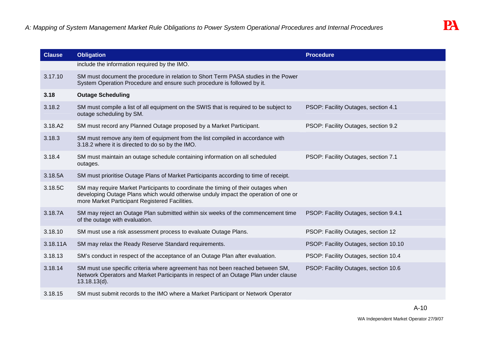| <b>Clause</b> | <b>Obligation</b>                                                                                                                                                                                                          | <b>Procedure</b>                      |
|---------------|----------------------------------------------------------------------------------------------------------------------------------------------------------------------------------------------------------------------------|---------------------------------------|
|               | include the information required by the IMO.                                                                                                                                                                               |                                       |
| 3.17.10       | SM must document the procedure in relation to Short Term PASA studies in the Power<br>System Operation Procedure and ensure such procedure is followed by it.                                                              |                                       |
| 3.18          | <b>Outage Scheduling</b>                                                                                                                                                                                                   |                                       |
| 3.18.2        | SM must compile a list of all equipment on the SWIS that is required to be subject to<br>outage scheduling by SM.                                                                                                          | PSOP: Facility Outages, section 4.1   |
| 3.18.A2       | SM must record any Planned Outage proposed by a Market Participant.                                                                                                                                                        | PSOP: Facility Outages, section 9.2   |
| 3.18.3        | SM must remove any item of equipment from the list compiled in accordance with<br>3.18.2 where it is directed to do so by the IMO.                                                                                         |                                       |
| 3.18.4        | SM must maintain an outage schedule containing information on all scheduled<br>outages.                                                                                                                                    | PSOP: Facility Outages, section 7.1   |
| 3.18.5A       | SM must prioritise Outage Plans of Market Participants according to time of receipt.                                                                                                                                       |                                       |
| 3.18.5C       | SM may require Market Participants to coordinate the timing of their outages when<br>developing Outage Plans which would otherwise unduly impact the operation of one or<br>more Market Participant Registered Facilities. |                                       |
| 3.18.7A       | SM may reject an Outage Plan submitted within six weeks of the commencement time<br>of the outage with evaluation.                                                                                                         | PSOP: Facility Outages, section 9.4.1 |
| 3.18.10       | SM must use a risk assessment process to evaluate Outage Plans.                                                                                                                                                            | PSOP: Facility Outages, section 12    |
| 3.18.11A      | SM may relax the Ready Reserve Standard requirements.                                                                                                                                                                      | PSOP: Facility Outages, section 10.10 |
| 3.18.13       | SM's conduct in respect of the acceptance of an Outage Plan after evaluation.                                                                                                                                              | PSOP: Facility Outages, section 10.4  |
| 3.18.14       | SM must use specific criteria where agreement has not been reached between SM,<br>Network Operators and Market Participants in respect of an Outage Plan under clause<br>$13.18.13(d)$ .                                   | PSOP: Facility Outages, section 10.6  |
| 3.18.15       | SM must submit records to the IMO where a Market Participant or Network Operator                                                                                                                                           |                                       |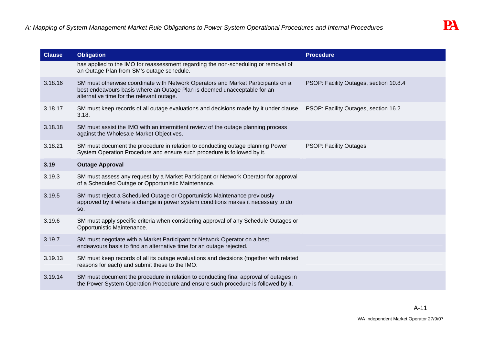| <b>Clause</b> | <b>Obligation</b>                                                                                                                                                                                         | <b>Procedure</b>                       |
|---------------|-----------------------------------------------------------------------------------------------------------------------------------------------------------------------------------------------------------|----------------------------------------|
|               | has applied to the IMO for reassessment regarding the non-scheduling or removal of<br>an Outage Plan from SM's outage schedule.                                                                           |                                        |
| 3.18.16       | SM must otherwise coordinate with Network Operators and Market Participants on a<br>best endeavours basis where an Outage Plan is deemed unacceptable for an<br>alternative time for the relevant outage. | PSOP: Facility Outages, section 10.8.4 |
| 3.18.17       | SM must keep records of all outage evaluations and decisions made by it under clause<br>3.18.                                                                                                             | PSOP: Facility Outages, section 16.2   |
| 3.18.18       | SM must assist the IMO with an intermittent review of the outage planning process<br>against the Wholesale Market Objectives.                                                                             |                                        |
| 3.18.21       | SM must document the procedure in relation to conducting outage planning Power<br>System Operation Procedure and ensure such procedure is followed by it.                                                 | <b>PSOP: Facility Outages</b>          |
| 3.19          | <b>Outage Approval</b>                                                                                                                                                                                    |                                        |
| 3.19.3        | SM must assess any request by a Market Participant or Network Operator for approval<br>of a Scheduled Outage or Opportunistic Maintenance.                                                                |                                        |
| 3.19.5        | SM must reject a Scheduled Outage or Opportunistic Maintenance previously<br>approved by it where a change in power system conditions makes it necessary to do<br>SO.                                     |                                        |
| 3.19.6        | SM must apply specific criteria when considering approval of any Schedule Outages or<br>Opportunistic Maintenance.                                                                                        |                                        |
| 3.19.7        | SM must negotiate with a Market Participant or Network Operator on a best<br>endeavours basis to find an alternative time for an outage rejected.                                                         |                                        |
| 3.19.13       | SM must keep records of all its outage evaluations and decisions (together with related<br>reasons for each) and submit these to the IMO.                                                                 |                                        |
| 3.19.14       | SM must document the procedure in relation to conducting final approval of outages in<br>the Power System Operation Procedure and ensure such procedure is followed by it.                                |                                        |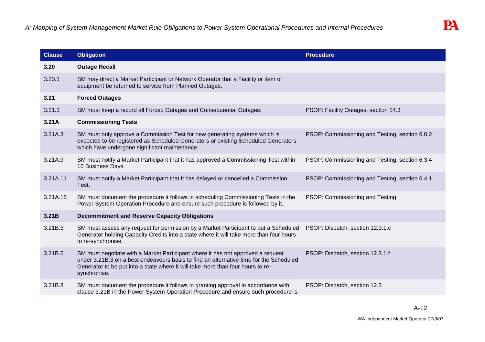| <b>Clause</b> | <b>Obligation</b>                                                                                                                                                                                                                                                            | <b>Procedure</b>                               |
|---------------|------------------------------------------------------------------------------------------------------------------------------------------------------------------------------------------------------------------------------------------------------------------------------|------------------------------------------------|
| 3.20          | <b>Outage Recall</b>                                                                                                                                                                                                                                                         |                                                |
| 3.20.1        | SM may direct a Market Participant or Network Operator that a Facility or item of<br>equipment be returned to service from Planned Outages.                                                                                                                                  |                                                |
| 3.21          | <b>Forced Outages</b>                                                                                                                                                                                                                                                        |                                                |
| 3.21.3        | SM must keep a record all Forced Outages and Consequential Outages.                                                                                                                                                                                                          | PSOP: Facility Outages, section 14.3           |
| 3.21A         | <b>Commissioning Tests</b>                                                                                                                                                                                                                                                   |                                                |
| 3.21A.3       | SM must only approve a Commission Test for new generating systems which is<br>expected to be registered as Scheduled Generators or existing Scheduled Generators<br>which have undergone significant maintenance.                                                            | PSOP: Commissioning and Testing, section 6.0.2 |
| 3.21A.9       | SM must notify a Market Participant that it has approved a Commissioning Test within<br>10 Business Days.                                                                                                                                                                    | PSOP: Commissioning and Testing, section 6.3.4 |
| 3.21A.11      | SM must notify a Market Participant that it has delayed or cancelled a Commission<br>Test.                                                                                                                                                                                   | PSOP: Commissioning and Testing, section 6.4.1 |
| 3.21A.15      | SM must document the procedure it follows in scheduling Commissioning Tests in the<br>Power System Operation Procedure and ensure such procedure is followed by it.                                                                                                          | PSOP: Commissioning and Testing                |
| 3.21B         | <b>Decommitment and Reserve Capacity Obligations</b>                                                                                                                                                                                                                         |                                                |
| 3.21B.3       | SM must assess any request for permission by a Market Participant to put a Scheduled<br>Generator holding Capacity Credits into a state where it will take more than four hours<br>to re-synchronise.                                                                        | PSOP: Dispatch, section 12.3.1.c               |
| 3.21B.6       | SM must negotiate with a Market Participant where it has not approved a request<br>under 3.21B.3 on a best endeavours basis to find an alternative time for the Scheduled<br>Generator to be put into a state where it will take more than four hours to re-<br>synchronise. | PSOP: Dispatch, section 12.3.1.f               |
| 3.21B.8       | SM must document the procedure it follows in granting approval in accordance with<br>clause 3.21B in the Power System Operation Procedure and ensure such procedure is                                                                                                       | PSOP: Dispatch, section 12.3                   |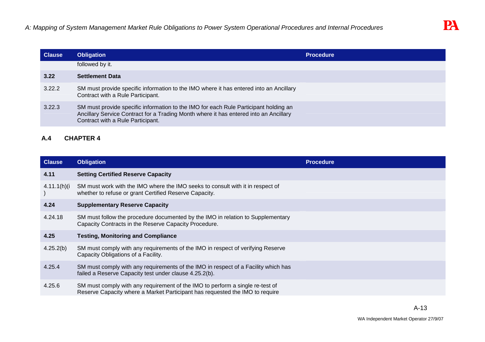| <b>Clause</b> | <b>Obligation</b>                                                                                                                                                                                                  | <b>Procedure</b> |
|---------------|--------------------------------------------------------------------------------------------------------------------------------------------------------------------------------------------------------------------|------------------|
|               | followed by it.                                                                                                                                                                                                    |                  |
| 3.22          | <b>Settlement Data</b>                                                                                                                                                                                             |                  |
| 3.22.2        | SM must provide specific information to the IMO where it has entered into an Ancillary<br>Contract with a Rule Participant.                                                                                        |                  |
| 3.22.3        | SM must provide specific information to the IMO for each Rule Participant holding an<br>Ancillary Service Contract for a Trading Month where it has entered into an Ancillary<br>Contract with a Rule Participant. |                  |

# **A.4 CHAPTER 4**

| <b>Clause</b>  | <b>Obligation</b>                                                                                                                                             | <b>Procedure</b> |
|----------------|---------------------------------------------------------------------------------------------------------------------------------------------------------------|------------------|
| 4.11           | <b>Setting Certified Reserve Capacity</b>                                                                                                                     |                  |
| $4.11.1(h)$ (i | SM must work with the IMO where the IMO seeks to consult with it in respect of<br>whether to refuse or grant Certified Reserve Capacity.                      |                  |
| 4.24           | <b>Supplementary Reserve Capacity</b>                                                                                                                         |                  |
| 4.24.18        | SM must follow the procedure documented by the IMO in relation to Supplementary<br>Capacity Contracts in the Reserve Capacity Procedure.                      |                  |
| 4.25           | <b>Testing, Monitoring and Compliance</b>                                                                                                                     |                  |
| 4.25.2(b)      | SM must comply with any requirements of the IMO in respect of verifying Reserve<br>Capacity Obligations of a Facility.                                        |                  |
| 4.25.4         | SM must comply with any requirements of the IMO in respect of a Facility which has<br>failed a Reserve Capacity test under clause 4.25.2(b).                  |                  |
| 4.25.6         | SM must comply with any requirement of the IMO to perform a single re-test of<br>Reserve Capacity where a Market Participant has requested the IMO to require |                  |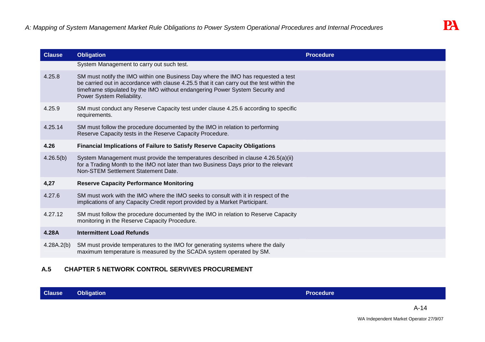| <b>Clause</b> | <b>Obligation</b>                                                                                                                                                                                                                                                                            | <b>Procedure</b> |
|---------------|----------------------------------------------------------------------------------------------------------------------------------------------------------------------------------------------------------------------------------------------------------------------------------------------|------------------|
|               | System Management to carry out such test.                                                                                                                                                                                                                                                    |                  |
| 4.25.8        | SM must notify the IMO within one Business Day where the IMO has requested a test<br>be carried out in accordance with clause 4.25.5 that it can carry out the test within the<br>timeframe stipulated by the IMO without endangering Power System Security and<br>Power System Reliability. |                  |
| 4.25.9        | SM must conduct any Reserve Capacity test under clause 4.25.6 according to specific<br>requirements.                                                                                                                                                                                         |                  |
| 4.25.14       | SM must follow the procedure documented by the IMO in relation to performing<br>Reserve Capacity tests in the Reserve Capacity Procedure.                                                                                                                                                    |                  |
| 4.26          | <b>Financial Implications of Failure to Satisfy Reserve Capacity Obligations</b>                                                                                                                                                                                                             |                  |
| 4.26.5(b)     | System Management must provide the temperatures described in clause 4.26.5(a)(ii)<br>for a Trading Month to the IMO not later than two Business Days prior to the relevant<br>Non-STEM Settlement Statement Date.                                                                            |                  |
| 4,27          | <b>Reserve Capacity Performance Monitoring</b>                                                                                                                                                                                                                                               |                  |
| 4.27.6        | SM must work with the IMO where the IMO seeks to consult with it in respect of the<br>implications of any Capacity Credit report provided by a Market Participant.                                                                                                                           |                  |
| 4.27.12       | SM must follow the procedure documented by the IMO in relation to Reserve Capacity<br>monitoring in the Reserve Capacity Procedure.                                                                                                                                                          |                  |
| 4.28A         | <b>Intermittent Load Refunds</b>                                                                                                                                                                                                                                                             |                  |
| 4.28A.2(b)    | SM must provide temperatures to the IMO for generating systems where the daily<br>maximum temperature is measured by the SCADA system operated by SM.                                                                                                                                        |                  |

# **A.5 CHAPTER 5 NETWORK CONTROL SERVIVES PROCUREMENT**

| <b>Clause</b> | <b>Obligation</b> | <b>Procedure</b> |
|---------------|-------------------|------------------|
|               |                   |                  |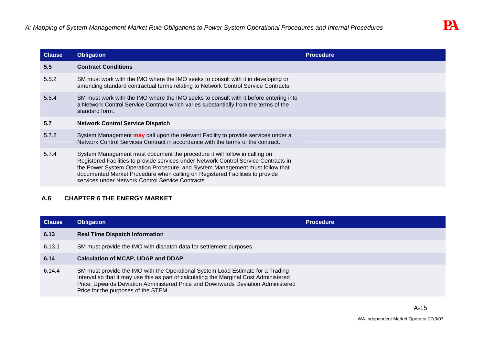| <b>Clause</b> | <b>Obligation</b>                                                                                                                                                                                                                                                                                                                                                                       | <b>Procedure</b> |
|---------------|-----------------------------------------------------------------------------------------------------------------------------------------------------------------------------------------------------------------------------------------------------------------------------------------------------------------------------------------------------------------------------------------|------------------|
| 5.5           | <b>Contract Conditions</b>                                                                                                                                                                                                                                                                                                                                                              |                  |
| 5.5.2         | SM must work with the IMO where the IMO seeks to consult with it in developing or<br>amending standard contractual terms relating to Network Control Service Contracts.                                                                                                                                                                                                                 |                  |
| 5.5.4         | SM must work with the IMO where the IMO seeks to consult with it before entering into<br>a Network Control Service Contract which varies substantially from the terms of the<br>standard form.                                                                                                                                                                                          |                  |
| 5.7           | <b>Network Control Service Dispatch</b>                                                                                                                                                                                                                                                                                                                                                 |                  |
| 5.7.2         | System Management may call upon the relevant Facility to provide services under a<br>Network Control Services Contract in accordance with the terms of the contract.                                                                                                                                                                                                                    |                  |
| 5.7.4         | System Management must document the procedure it will follow in calling on<br>Registered Facilities to provide services under Network Control Service Contracts in<br>the Power System Operation Procedure, and System Management must follow that<br>documented Market Procedure when calling on Registered Facilities to provide<br>services under Network Control Service Contracts. |                  |

# **A.6 CHAPTER 6 THE ENERGY MARKET**

| <b>Clause</b> | <b>Obligation</b>                                                                                                                                                                                                                                                                                    | <b>Procedure</b> |
|---------------|------------------------------------------------------------------------------------------------------------------------------------------------------------------------------------------------------------------------------------------------------------------------------------------------------|------------------|
| 6.13          | <b>Real Time Dispatch Information</b>                                                                                                                                                                                                                                                                |                  |
| 6.13.1        | SM must provide the IMO with dispatch data for settlement purposes.                                                                                                                                                                                                                                  |                  |
| 6.14          | <b>Calculation of MCAP, UDAP and DDAP</b>                                                                                                                                                                                                                                                            |                  |
| 6.14.4        | SM must provide the IMO with the Operational System Load Estimate for a Trading<br>Interval so that it may use this as part of calculating the Marginal Cost Administered<br>Price, Upwards Deviation Administered Price and Downwards Deviation Administered<br>Price for the purposes of the STEM. |                  |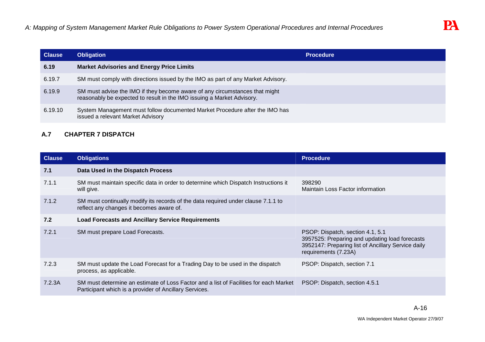| <b>Clause</b> | <b>Obligation</b>                                                                                                                                     | <b>Procedure</b> |
|---------------|-------------------------------------------------------------------------------------------------------------------------------------------------------|------------------|
| 6.19          | <b>Market Advisories and Energy Price Limits</b>                                                                                                      |                  |
| 6.19.7        | SM must comply with directions issued by the IMO as part of any Market Advisory.                                                                      |                  |
| 6.19.9        | SM must advise the IMO if they become aware of any circumstances that might<br>reasonably be expected to result in the IMO issuing a Market Advisory. |                  |
| 6.19.10       | System Management must follow documented Market Procedure after the IMO has<br>issued a relevant Market Advisory                                      |                  |

# **A.7 CHAPTER 7 DISPATCH**

| <b>Clause</b> | <b>Obligations</b>                                                                                                                              | <b>Procedure</b>                                                                                                                                                 |
|---------------|-------------------------------------------------------------------------------------------------------------------------------------------------|------------------------------------------------------------------------------------------------------------------------------------------------------------------|
| 7.1           | Data Used in the Dispatch Process                                                                                                               |                                                                                                                                                                  |
| 7.1.1         | SM must maintain specific data in order to determine which Dispatch Instructions it<br>will give.                                               | 398290<br>Maintain Loss Factor information                                                                                                                       |
| 7.1.2         | SM must continually modify its records of the data required under clause 7.1.1 to<br>reflect any changes it becomes aware of.                   |                                                                                                                                                                  |
| 7.2           | <b>Load Forecasts and Ancillary Service Requirements</b>                                                                                        |                                                                                                                                                                  |
| 7.2.1         | SM must prepare Load Forecasts.                                                                                                                 | PSOP: Dispatch, section 4.1, 5.1<br>3957525: Preparing and updating load forecasts<br>3952147: Preparing list of Ancillary Service daily<br>requirements (7.23A) |
| 7.2.3         | SM must update the Load Forecast for a Trading Day to be used in the dispatch<br>process, as applicable.                                        | PSOP: Dispatch, section 7.1                                                                                                                                      |
| 7.2.3A        | SM must determine an estimate of Loss Factor and a list of Facilities for each Market<br>Participant which is a provider of Ancillary Services. | PSOP: Dispatch, section 4.5.1                                                                                                                                    |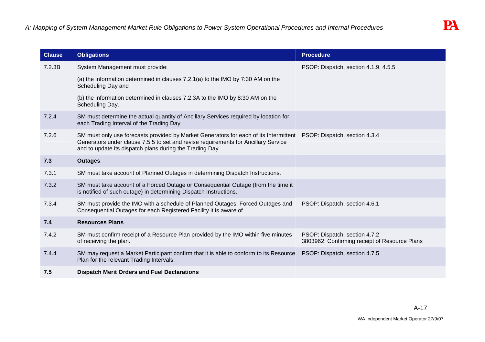| <b>Clause</b> | <b>Obligations</b>                                                                                                                                                                                                                      | <b>Procedure</b>                                                               |
|---------------|-----------------------------------------------------------------------------------------------------------------------------------------------------------------------------------------------------------------------------------------|--------------------------------------------------------------------------------|
| 7.2.3B        | System Management must provide:                                                                                                                                                                                                         | PSOP: Dispatch, section 4.1.9, 4.5.5                                           |
|               | (a) the information determined in clauses 7.2.1(a) to the IMO by 7:30 AM on the<br>Scheduling Day and                                                                                                                                   |                                                                                |
|               | (b) the information determined in clauses 7.2.3A to the IMO by 8:30 AM on the<br>Scheduling Day.                                                                                                                                        |                                                                                |
| 7.2.4         | SM must determine the actual quantity of Ancillary Services required by location for<br>each Trading Interval of the Trading Day.                                                                                                       |                                                                                |
| 7.2.6         | SM must only use forecasts provided by Market Generators for each of its Intermittent<br>Generators under clause 7.5.5 to set and revise requirements for Ancillary Service<br>and to update its dispatch plans during the Trading Day. | PSOP: Dispatch, section 4.3.4                                                  |
| 7.3           | <b>Outages</b>                                                                                                                                                                                                                          |                                                                                |
| 7.3.1         | SM must take account of Planned Outages in determining Dispatch Instructions.                                                                                                                                                           |                                                                                |
| 7.3.2         | SM must take account of a Forced Outage or Consequential Outage (from the time it<br>is notified of such outage) in determining Dispatch Instructions.                                                                                  |                                                                                |
| 7.3.4         | SM must provide the IMO with a schedule of Planned Outages, Forced Outages and<br>Consequential Outages for each Registered Facility it is aware of.                                                                                    | PSOP: Dispatch, section 4.6.1                                                  |
| 7.4           | <b>Resources Plans</b>                                                                                                                                                                                                                  |                                                                                |
| 7.4.2         | SM must confirm receipt of a Resource Plan provided by the IMO within five minutes<br>of receiving the plan.                                                                                                                            | PSOP: Dispatch, section 4.7.2<br>3803962: Confirming receipt of Resource Plans |
| 7.4.4         | SM may request a Market Participant confirm that it is able to conform to its Resource<br>Plan for the relevant Trading Intervals.                                                                                                      | PSOP: Dispatch, section 4.7.5                                                  |
| 7.5           | <b>Dispatch Merit Orders and Fuel Declarations</b>                                                                                                                                                                                      |                                                                                |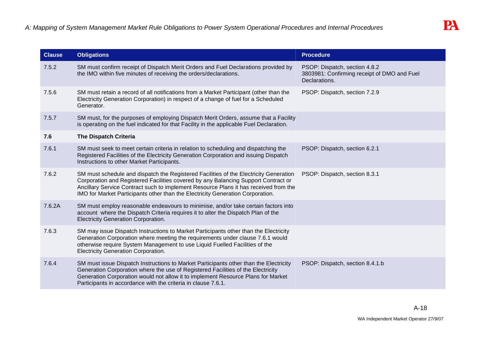| <b>Clause</b> | <b>Obligations</b>                                                                                                                                                                                                                                                                                                                                    | <b>Procedure</b>                                                                              |
|---------------|-------------------------------------------------------------------------------------------------------------------------------------------------------------------------------------------------------------------------------------------------------------------------------------------------------------------------------------------------------|-----------------------------------------------------------------------------------------------|
| 7.5.2         | SM must confirm receipt of Dispatch Merit Orders and Fuel Declarations provided by<br>the IMO within five minutes of receiving the orders/declarations.                                                                                                                                                                                               | PSOP: Dispatch, section 4.8.2<br>3803981: Confirming receipt of DMO and Fuel<br>Declarations. |
| 7.5.6         | SM must retain a record of all notifications from a Market Participant (other than the<br>Electricity Generation Corporation) in respect of a change of fuel for a Scheduled<br>Generator.                                                                                                                                                            | PSOP: Dispatch, section 7.2.9                                                                 |
| 7.5.7         | SM must, for the purposes of employing Dispatch Merit Orders, assume that a Facility<br>is operating on the fuel indicated for that Facility in the applicable Fuel Declaration.                                                                                                                                                                      |                                                                                               |
| 7.6           | <b>The Dispatch Criteria</b>                                                                                                                                                                                                                                                                                                                          |                                                                                               |
| 7.6.1         | SM must seek to meet certain criteria in relation to scheduling and dispatching the<br>Registered Facilities of the Electricity Generation Corporation and issuing Dispatch<br>Instructions to other Market Participants.                                                                                                                             | PSOP: Dispatch, section 6.2.1                                                                 |
| 7.6.2         | SM must schedule and dispatch the Registered Facilities of the Electricity Generation<br>Corporation and Registered Facilities covered by any Balancing Support Contract or<br>Ancillary Service Contract such to implement Resource Plans it has received from the<br>IMO for Market Participants other than the Electricity Generation Corporation. | PSOP: Dispatch, section 8.3.1                                                                 |
| 7.6.2A        | SM must employ reasonable endeavours to minimise, and/or take certain factors into<br>account where the Dispatch Criteria requires it to alter the Dispatch Plan of the<br><b>Electricity Generation Corporation.</b>                                                                                                                                 |                                                                                               |
| 7.6.3         | SM may issue Dispatch Instructions to Market Participants other than the Electricity<br>Generation Corporation where meeting the requirements under clause 7.6.1 would<br>otherwise require System Management to use Liquid Fuelled Facilities of the<br><b>Electricity Generation Corporation.</b>                                                   |                                                                                               |
| 7.6.4         | SM must issue Dispatch Instructions to Market Participants other than the Electricity<br>Generation Corporation where the use of Registered Facilities of the Electricity<br>Generation Corporation would not allow it to implement Resource Plans for Market<br>Participants in accordance with the criteria in clause 7.6.1.                        | PSOP: Dispatch, section 8.4.1.b                                                               |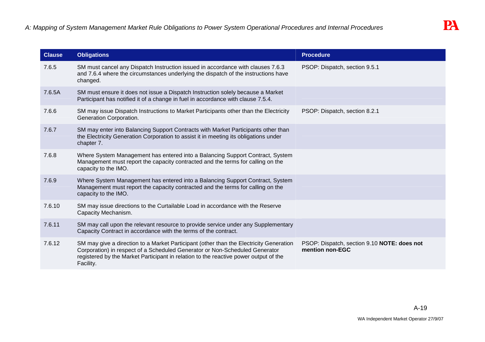| <b>Clause</b> | <b>Obligations</b>                                                                                                                                                                                                                                                         | <b>Procedure</b>                                               |
|---------------|----------------------------------------------------------------------------------------------------------------------------------------------------------------------------------------------------------------------------------------------------------------------------|----------------------------------------------------------------|
| 7.6.5         | SM must cancel any Dispatch Instruction issued in accordance with clauses 7.6.3<br>and 7.6.4 where the circumstances underlying the dispatch of the instructions have<br>changed.                                                                                          | PSOP: Dispatch, section 9.5.1                                  |
| 7.6.5A        | SM must ensure it does not issue a Dispatch Instruction solely because a Market<br>Participant has notified it of a change in fuel in accordance with clause 7.5.4.                                                                                                        |                                                                |
| 7.6.6         | SM may issue Dispatch Instructions to Market Participants other than the Electricity<br>Generation Corporation.                                                                                                                                                            | PSOP: Dispatch, section 8.2.1                                  |
| 7.6.7         | SM may enter into Balancing Support Contracts with Market Participants other than<br>the Electricity Generation Corporation to assist it in meeting its obligations under<br>chapter 7.                                                                                    |                                                                |
| 7.6.8         | Where System Management has entered into a Balancing Support Contract, System<br>Management must report the capacity contracted and the terms for calling on the<br>capacity to the IMO.                                                                                   |                                                                |
| 7.6.9         | Where System Management has entered into a Balancing Support Contract, System<br>Management must report the capacity contracted and the terms for calling on the<br>capacity to the IMO.                                                                                   |                                                                |
| 7.6.10        | SM may issue directions to the Curtailable Load in accordance with the Reserve<br>Capacity Mechanism.                                                                                                                                                                      |                                                                |
| 7.6.11        | SM may call upon the relevant resource to provide service under any Supplementary<br>Capacity Contract in accordance with the terms of the contract.                                                                                                                       |                                                                |
| 7.6.12        | SM may give a direction to a Market Participant (other than the Electricity Generation<br>Corporation) in respect of a Scheduled Generator or Non-Scheduled Generator<br>registered by the Market Participant in relation to the reactive power output of the<br>Facility. | PSOP: Dispatch, section 9.10 NOTE: does not<br>mention non-EGC |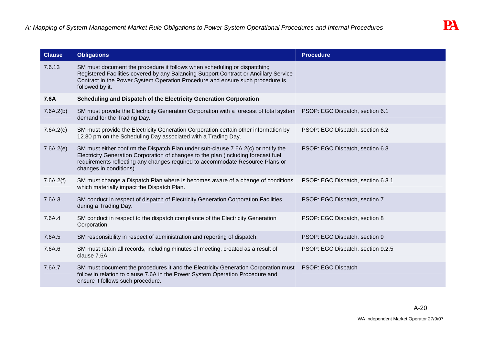| <b>Clause</b> | <b>Obligations</b>                                                                                                                                                                                                                                                                  | <b>Procedure</b>                  |
|---------------|-------------------------------------------------------------------------------------------------------------------------------------------------------------------------------------------------------------------------------------------------------------------------------------|-----------------------------------|
| 7.6.13        | SM must document the procedure it follows when scheduling or dispatching<br>Registered Facilities covered by any Balancing Support Contract or Ancillary Service<br>Contract in the Power System Operation Procedure and ensure such procedure is<br>followed by it.                |                                   |
| 7.6A          | Scheduling and Dispatch of the Electricity Generation Corporation                                                                                                                                                                                                                   |                                   |
| 7.6A.2(b)     | SM must provide the Electricity Generation Corporation with a forecast of total system PSOP: EGC Dispatch, section 6.1<br>demand for the Trading Day.                                                                                                                               |                                   |
| 7.6A.2(c)     | SM must provide the Electricity Generation Corporation certain other information by<br>12.30 pm on the Scheduling Day associated with a Trading Day.                                                                                                                                | PSOP: EGC Dispatch, section 6.2   |
| 7.6A.2(e)     | SM must either confirm the Dispatch Plan under sub-clause 7.6A.2(c) or notify the<br>Electricity Generation Corporation of changes to the plan (including forecast fuel<br>requirements reflecting any changes required to accommodate Resource Plans or<br>changes in conditions). | PSOP: EGC Dispatch, section 6.3   |
| 7.6A.2(f)     | SM must change a Dispatch Plan where is becomes aware of a change of conditions<br>which materially impact the Dispatch Plan.                                                                                                                                                       | PSOP: EGC Dispatch, section 6.3.1 |
| 7.6A.3        | SM conduct in respect of dispatch of Electricity Generation Corporation Facilities<br>during a Trading Day.                                                                                                                                                                         | PSOP: EGC Dispatch, section 7     |
| 7.6A.4        | SM conduct in respect to the dispatch compliance of the Electricity Generation<br>Corporation.                                                                                                                                                                                      | PSOP: EGC Dispatch, section 8     |
| 7.6A.5        | SM responsibility in respect of administration and reporting of dispatch.                                                                                                                                                                                                           | PSOP: EGC Dispatch, section 9     |
| 7.6A.6        | SM must retain all records, including minutes of meeting, created as a result of<br>clause 7.6A.                                                                                                                                                                                    | PSOP: EGC Dispatch, section 9.2.5 |
| 7.6A.7        | SM must document the procedures it and the Electricity Generation Corporation must<br>follow in relation to clause 7.6A in the Power System Operation Procedure and<br>ensure it follows such procedure.                                                                            | PSOP: EGC Dispatch                |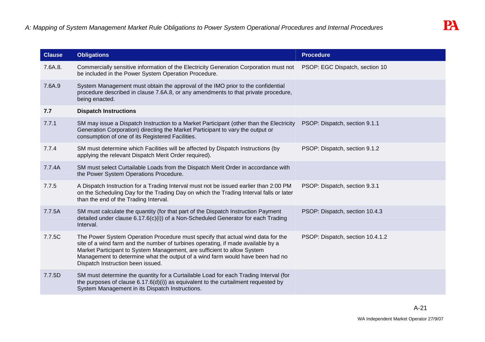| <b>Clause</b> | <b>Obligations</b>                                                                                                                                                                                                                                                                                                                                                   | <b>Procedure</b>                 |
|---------------|----------------------------------------------------------------------------------------------------------------------------------------------------------------------------------------------------------------------------------------------------------------------------------------------------------------------------------------------------------------------|----------------------------------|
| 7.6A.8.       | Commercially sensitive information of the Electricity Generation Corporation must not PSOP: EGC Dispatch, section 10<br>be included in the Power System Operation Procedure.                                                                                                                                                                                         |                                  |
| 7.6A.9        | System Management must obtain the approval of the IMO prior to the confidential<br>procedure described in clause 7.6A.8, or any amendments to that private procedure,<br>being enacted.                                                                                                                                                                              |                                  |
| 7.7           | <b>Dispatch Instructions</b>                                                                                                                                                                                                                                                                                                                                         |                                  |
| 7.7.1         | SM may issue a Dispatch Instruction to a Market Participant (other than the Electricity<br>Generation Corporation) directing the Market Participant to vary the output or<br>consumption of one of its Registered Facilities.                                                                                                                                        | PSOP: Dispatch, section 9.1.1    |
| 7.7.4         | SM must determine which Facilities will be affected by Dispatch Instructions (by<br>applying the relevant Dispatch Merit Order required).                                                                                                                                                                                                                            | PSOP: Dispatch, section 9.1.2    |
| 7.7.4A        | SM must select Curtailable Loads from the Dispatch Merit Order in accordance with<br>the Power System Operations Procedure.                                                                                                                                                                                                                                          |                                  |
| 7.7.5         | A Dispatch Instruction for a Trading Interval must not be issued earlier than 2:00 PM<br>on the Scheduling Day for the Trading Day on which the Trading Interval falls or later<br>than the end of the Trading Interval.                                                                                                                                             | PSOP: Dispatch, section 9.3.1    |
| 7.7.5A        | SM must calculate the quantity (for that part of the Dispatch Instruction Payment<br>detailed under clause $6.17.6(c)(i)$ of a Non-Scheduled Generator for each Trading<br>Interval.                                                                                                                                                                                 | PSOP: Dispatch, section 10.4.3   |
| 7.7.5C        | The Power System Operation Procedure must specify that actual wind data for the<br>site of a wind farm and the number of turbines operating, if made available by a<br>Market Participant to System Management, are sufficient to allow System<br>Management to determine what the output of a wind farm would have been had no<br>Dispatch Instruction been issued. | PSOP: Dispatch, section 10.4.1.2 |
| 7.7.5D        | SM must determine the quantity for a Curtailable Load for each Trading Interval (for<br>the purposes of clause $6.17.6(d)(i)$ as equivalent to the curtailment requested by<br>System Management in its Dispatch Instructions.                                                                                                                                       |                                  |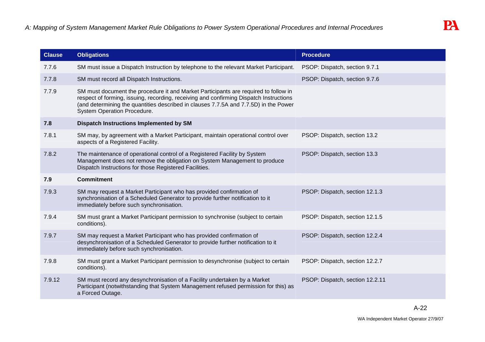| <b>Clause</b> | <b>Obligations</b>                                                                                                                                                                                                                                                                                          | <b>Procedure</b>                |
|---------------|-------------------------------------------------------------------------------------------------------------------------------------------------------------------------------------------------------------------------------------------------------------------------------------------------------------|---------------------------------|
| 7.7.6         | SM must issue a Dispatch Instruction by telephone to the relevant Market Participant.                                                                                                                                                                                                                       | PSOP: Dispatch, section 9.7.1   |
| 7.7.8         | SM must record all Dispatch Instructions.                                                                                                                                                                                                                                                                   | PSOP: Dispatch, section 9.7.6   |
| 7.7.9         | SM must document the procedure it and Market Participants are required to follow in<br>respect of forming, issuing, recording, receiving and confirming Dispatch Instructions<br>(and determining the quantities described in clauses 7.7.5A and 7.7.5D) in the Power<br><b>System Operation Procedure.</b> |                                 |
| 7.8           | Dispatch Instructions Implemented by SM                                                                                                                                                                                                                                                                     |                                 |
| 7.8.1         | SM may, by agreement with a Market Participant, maintain operational control over<br>aspects of a Registered Facility.                                                                                                                                                                                      | PSOP: Dispatch, section 13.2    |
| 7.8.2         | The maintenance of operational control of a Registered Facility by System<br>Management does not remove the obligation on System Management to produce<br>Dispatch Instructions for those Registered Facilities.                                                                                            | PSOP: Dispatch, section 13.3    |
| 7.9           | <b>Commitment</b>                                                                                                                                                                                                                                                                                           |                                 |
| 7.9.3         | SM may request a Market Participant who has provided confirmation of<br>synchronisation of a Scheduled Generator to provide further notification to it<br>immediately before such synchronisation.                                                                                                          | PSOP: Dispatch, section 12.1.3  |
| 7.9.4         | SM must grant a Market Participant permission to synchronise (subject to certain<br>conditions).                                                                                                                                                                                                            | PSOP: Dispatch, section 12.1.5  |
| 7.9.7         | SM may request a Market Participant who has provided confirmation of<br>desynchronisation of a Scheduled Generator to provide further notification to it<br>immediately before such synchronisation.                                                                                                        | PSOP: Dispatch, section 12.2.4  |
| 7.9.8         | SM must grant a Market Participant permission to desynchronise (subject to certain<br>conditions).                                                                                                                                                                                                          | PSOP: Dispatch, section 12.2.7  |
| 7.9.12        | SM must record any desynchronisation of a Facility undertaken by a Market<br>Participant (notwithstanding that System Management refused permission for this) as<br>a Forced Outage.                                                                                                                        | PSOP: Dispatch, section 12.2.11 |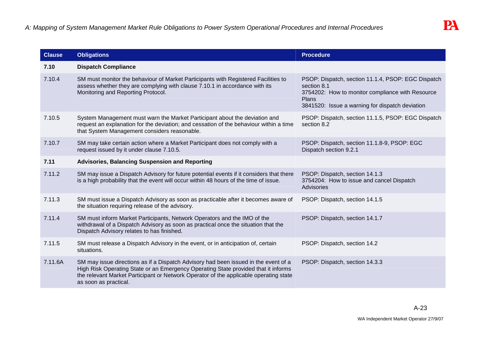| <b>Clause</b> | <b>Obligations</b>                                                                                                                                                                                                                                                                          | <b>Procedure</b>                                                                                                                                                                  |
|---------------|---------------------------------------------------------------------------------------------------------------------------------------------------------------------------------------------------------------------------------------------------------------------------------------------|-----------------------------------------------------------------------------------------------------------------------------------------------------------------------------------|
| 7.10          | <b>Dispatch Compliance</b>                                                                                                                                                                                                                                                                  |                                                                                                                                                                                   |
| 7.10.4        | SM must monitor the behaviour of Market Participants with Registered Facilities to<br>assess whether they are complying with clause 7.10.1 in accordance with its<br>Monitoring and Reporting Protocol.                                                                                     | PSOP: Dispatch, section 11.1.4, PSOP: EGC Dispatch<br>section 8.1<br>3754202: How to monitor compliance with Resource<br>Plans<br>3841520: Issue a warning for dispatch deviation |
| 7.10.5        | System Management must warn the Market Participant about the deviation and<br>request an explanation for the deviation; and cessation of the behaviour within a time<br>that System Management considers reasonable.                                                                        | PSOP: Dispatch, section 11.1.5, PSOP: EGC Dispatch<br>section 8.2                                                                                                                 |
| 7.10.7        | SM may take certain action where a Market Participant does not comply with a<br>request issued by it under clause 7.10.5.                                                                                                                                                                   | PSOP: Dispatch, section 11.1.8-9, PSOP: EGC<br>Dispatch section 9.2.1                                                                                                             |
| 7.11          | <b>Advisories, Balancing Suspension and Reporting</b>                                                                                                                                                                                                                                       |                                                                                                                                                                                   |
| 7.11.2        | SM may issue a Dispatch Advisory for future potential events if it considers that there<br>is a high probability that the event will occur within 48 hours of the time of issue.                                                                                                            | PSOP: Dispatch, section 14.1.3<br>3754204: How to issue and cancel Dispatch<br>Advisories                                                                                         |
| 7.11.3        | SM must issue a Dispatch Advisory as soon as practicable after it becomes aware of<br>the situation requiring release of the advisory.                                                                                                                                                      | PSOP: Dispatch, section 14.1.5                                                                                                                                                    |
| 7.11.4        | SM must inform Market Participants, Network Operators and the IMO of the<br>withdrawal of a Dispatch Advisory as soon as practical once the situation that the<br>Dispatch Advisory relates to has finished.                                                                                | PSOP: Dispatch, section 14.1.7                                                                                                                                                    |
| 7.11.5        | SM must release a Dispatch Advisory in the event, or in anticipation of, certain<br>situations.                                                                                                                                                                                             | PSOP: Dispatch, section 14.2                                                                                                                                                      |
| 7.11.6A       | SM may issue directions as if a Dispatch Advisory had been issued in the event of a<br>High Risk Operating State or an Emergency Operating State provided that it informs<br>the relevant Market Participant or Network Operator of the applicable operating state<br>as soon as practical. | PSOP: Dispatch, section 14.3.3                                                                                                                                                    |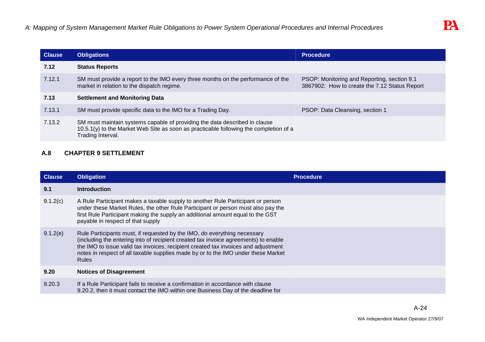| <b>Clause</b> | <b>Obligations</b>                                                                                                                                                                       | <b>Procedure</b>                                                                             |
|---------------|------------------------------------------------------------------------------------------------------------------------------------------------------------------------------------------|----------------------------------------------------------------------------------------------|
| 7.12          | <b>Status Reports</b>                                                                                                                                                                    |                                                                                              |
| 7.12.1        | SM must provide a report to the IMO every three months on the performance of the<br>market in relation to the dispatch regime.                                                           | PSOP: Monitoring and Reporting, section 9.1<br>3867902: How to create the 7.12 Status Report |
| 7.13          | <b>Settlement and Monitoring Data</b>                                                                                                                                                    |                                                                                              |
| 7.13.1        | SM must provide specific data to the IMO for a Trading Day.                                                                                                                              | PSOP: Data Cleansing, section 1                                                              |
| 7.13.2        | SM must maintain systems capable of providing the data described in clause<br>10.5.1(y) to the Market Web Site as soon as practicable following the completion of a<br>Trading Interval. |                                                                                              |

# **A.8 CHAPTER 9 SETTLEMENT**

| <b>Clause</b> | <b>Obligation</b>                                                                                                                                                                                                                                                                                                                                          | <b>Procedure</b> |
|---------------|------------------------------------------------------------------------------------------------------------------------------------------------------------------------------------------------------------------------------------------------------------------------------------------------------------------------------------------------------------|------------------|
| 9.1           | <b>Introduction</b>                                                                                                                                                                                                                                                                                                                                        |                  |
| 9.1.2(c)      | A Rule Participant makes a taxable supply to another Rule Participant or person<br>under these Market Rules, the other Rule Participant or person must also pay the<br>first Rule Participant making the supply an additional amount equal to the GST<br>payable in respect of that supply                                                                 |                  |
| 9.1.2(e)      | Rule Participants must, if requested by the IMO, do everything necessary<br>(including the entering into of recipient created tax invoice agreements) to enable<br>the IMO to issue valid tax invoices, recipient created tax invoices and adjustment<br>notes in respect of all taxable supplies made by or to the IMO under these Market<br><b>Rules</b> |                  |
| 9.20          | <b>Notices of Disagreement</b>                                                                                                                                                                                                                                                                                                                             |                  |
| 9.20.3        | If a Rule Participant fails to receive a confirmation in accordance with clause<br>9.20.2, then it must contact the IMO within one Business Day of the deadline for                                                                                                                                                                                        |                  |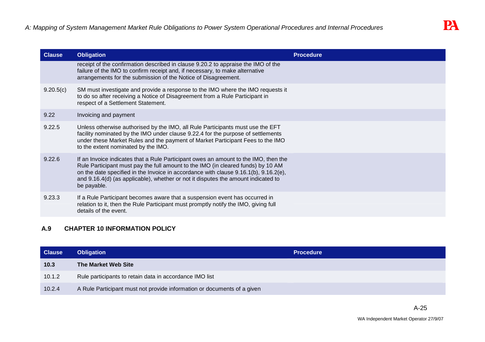| <b>Clause</b> | <b>Obligation</b>                                                                                                                                                                                                                                                                                                                                                         | <b>Procedure</b> |
|---------------|---------------------------------------------------------------------------------------------------------------------------------------------------------------------------------------------------------------------------------------------------------------------------------------------------------------------------------------------------------------------------|------------------|
|               | receipt of the confirmation described in clause 9.20.2 to appraise the IMO of the<br>failure of the IMO to confirm receipt and, if necessary, to make alternative<br>arrangements for the submission of the Notice of Disagreement.                                                                                                                                       |                  |
| 9.20.5(c)     | SM must investigate and provide a response to the IMO where the IMO requests it<br>to do so after receiving a Notice of Disagreement from a Rule Participant in<br>respect of a Settlement Statement.                                                                                                                                                                     |                  |
| 9.22          | Invoicing and payment                                                                                                                                                                                                                                                                                                                                                     |                  |
| 9.22.5        | Unless otherwise authorised by the IMO, all Rule Participants must use the EFT<br>facility nominated by the IMO under clause 9.22.4 for the purpose of settlements<br>under these Market Rules and the payment of Market Participant Fees to the IMO<br>to the extent nominated by the IMO.                                                                               |                  |
| 9.22.6        | If an Invoice indicates that a Rule Participant owes an amount to the IMO, then the<br>Rule Participant must pay the full amount to the IMO (in cleared funds) by 10 AM<br>on the date specified in the Invoice in accordance with clause $9.16.1(b)$ , $9.16.2(e)$ ,<br>and 9.16.4(d) (as applicable), whether or not it disputes the amount indicated to<br>be payable. |                  |
| 9.23.3        | If a Rule Participant becomes aware that a suspension event has occurred in<br>relation to it, then the Rule Participant must promptly notify the IMO, giving full<br>details of the event.                                                                                                                                                                               |                  |

# **A.9 CHAPTER 10 INFORMATION POLICY**

| <b>Clause</b> | <b>Obligation</b>                                                       | <b>Procedure</b> |
|---------------|-------------------------------------------------------------------------|------------------|
| 10.3          | The Market Web Site                                                     |                  |
| 10.1.2        | Rule participants to retain data in accordance IMO list                 |                  |
| 10.2.4        | A Rule Participant must not provide information or documents of a given |                  |